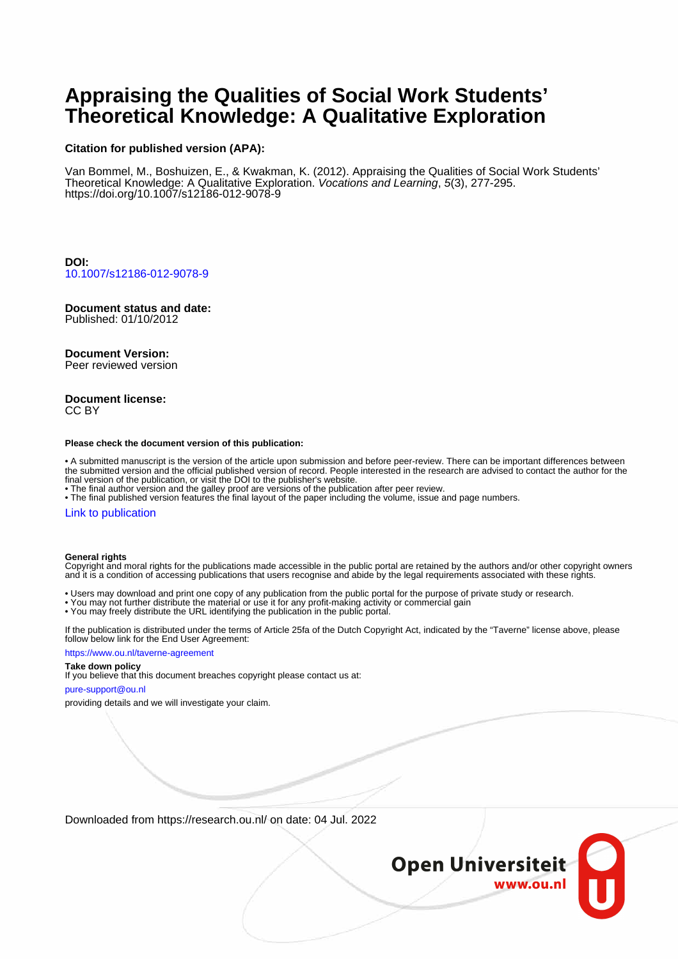# **Appraising the Qualities of Social Work Students' Theoretical Knowledge: A Qualitative Exploration**

#### **Citation for published version (APA):**

Van Bommel, M., Boshuizen, E., & Kwakman, K. (2012). Appraising the Qualities of Social Work Students' Theoretical Knowledge: A Qualitative Exploration. Vocations and Learning, 5(3), 277-295. <https://doi.org/10.1007/s12186-012-9078-9>

**DOI:** [10.1007/s12186-012-9078-9](https://doi.org/10.1007/s12186-012-9078-9)

# **Document status and date:**

Published: 01/10/2012

#### **Document Version:**

Peer reviewed version

#### **Document license:** CC BY

#### **Please check the document version of this publication:**

• A submitted manuscript is the version of the article upon submission and before peer-review. There can be important differences between the submitted version and the official published version of record. People interested in the research are advised to contact the author for the final version of the publication, or visit the DOI to the publisher's website.

• The final author version and the galley proof are versions of the publication after peer review.

• The final published version features the final layout of the paper including the volume, issue and page numbers.

#### [Link to publication](https://research.ou.nl/en/publications/98996939-b910-46ff-82c5-1f6d3c3eb63b)

#### **General rights**

Copyright and moral rights for the publications made accessible in the public portal are retained by the authors and/or other copyright owners and it is a condition of accessing publications that users recognise and abide by the legal requirements associated with these rights.

- Users may download and print one copy of any publication from the public portal for the purpose of private study or research.
- You may not further distribute the material or use it for any profit-making activity or commercial gain
- You may freely distribute the URL identifying the publication in the public portal.

If the publication is distributed under the terms of Article 25fa of the Dutch Copyright Act, indicated by the "Taverne" license above, please follow below link for the End User Agreement:

#### https://www.ou.nl/taverne-agreement

## **Take down policy**

If you believe that this document breaches copyright please contact us at:

#### pure-support@ou.nl

providing details and we will investigate your claim.

Downloaded from https://research.ou.nl/ on date: 04 Jul. 2022

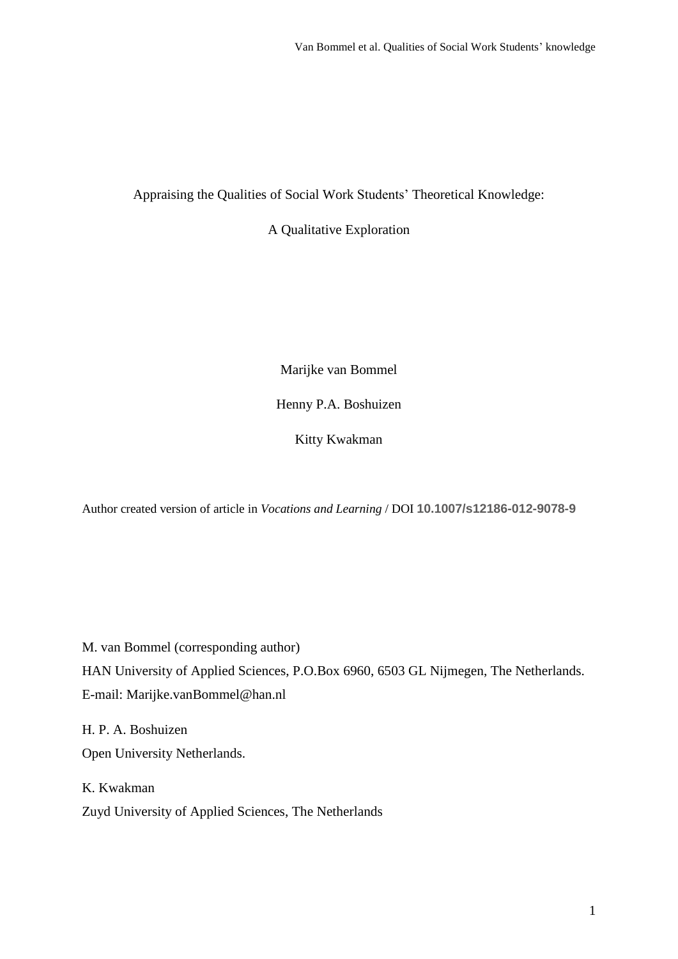Appraising the Qualities of Social Work Students' Theoretical Knowledge:

A Qualitative Exploration

Marijke van Bommel

Henny P.A. Boshuizen

Kitty Kwakman

Author created version of article in *Vocations and Learning* / DOI **10.1007/s12186-012-9078-9**

M. van Bommel (corresponding author)

HAN University of Applied Sciences, P.O.Box 6960, 6503 GL Nijmegen, The Netherlands. E-mail: Marijke.vanBommel@han.nl

H. P. A. Boshuizen Open University Netherlands.

K. Kwakman Zuyd University of Applied Sciences, The Netherlands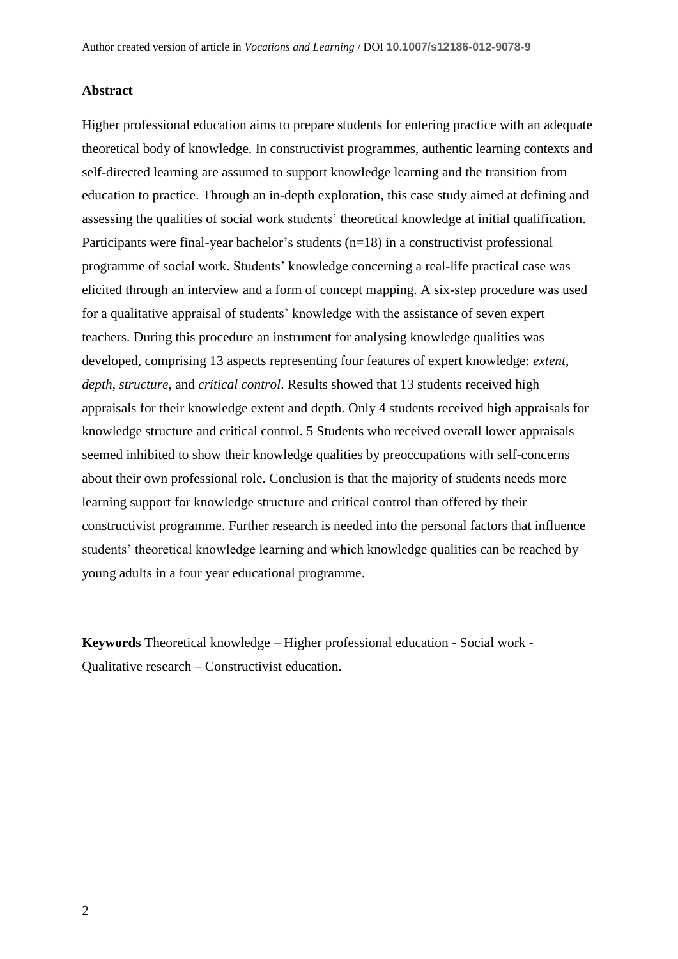# **Abstract**

Higher professional education aims to prepare students for entering practice with an adequate theoretical body of knowledge. In constructivist programmes, authentic learning contexts and self-directed learning are assumed to support knowledge learning and the transition from education to practice. Through an in-depth exploration, this case study aimed at defining and assessing the qualities of social work students' theoretical knowledge at initial qualification. Participants were final-year bachelor's students (n=18) in a constructivist professional programme of social work. Students' knowledge concerning a real-life practical case was elicited through an interview and a form of concept mapping. A six-step procedure was used for a qualitative appraisal of students' knowledge with the assistance of seven expert teachers. During this procedure an instrument for analysing knowledge qualities was developed, comprising 13 aspects representing four features of expert knowledge: *extent*, *depth*, *structure*, and *critical control*. Results showed that 13 students received high appraisals for their knowledge extent and depth. Only 4 students received high appraisals for knowledge structure and critical control. 5 Students who received overall lower appraisals seemed inhibited to show their knowledge qualities by preoccupations with self-concerns about their own professional role. Conclusion is that the majority of students needs more learning support for knowledge structure and critical control than offered by their constructivist programme. Further research is needed into the personal factors that influence students' theoretical knowledge learning and which knowledge qualities can be reached by young adults in a four year educational programme.

**Keywords** Theoretical knowledge – Higher professional education - Social work - Qualitative research – Constructivist education.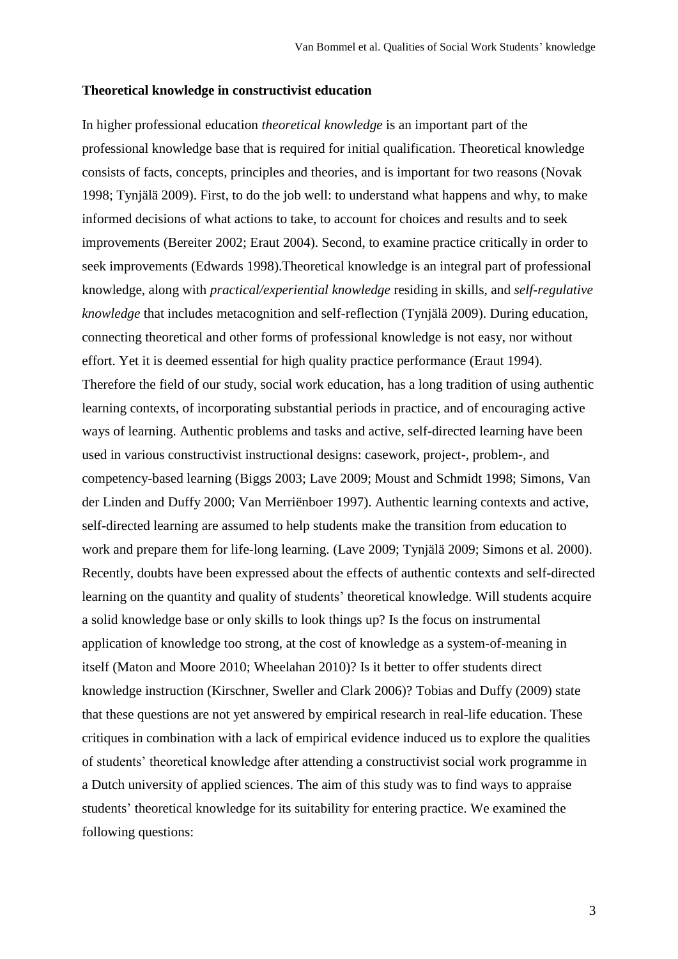## **Theoretical knowledge in constructivist education**

In higher professional education *theoretical knowledge* is an important part of the professional knowledge base that is required for initial qualification. Theoretical knowledge consists of facts, concepts, principles and theories, and is important for two reasons (Novak 1998; Tynjälä 2009). First, to do the job well: to understand what happens and why, to make informed decisions of what actions to take, to account for choices and results and to seek improvements (Bereiter 2002; Eraut 2004). Second, to examine practice critically in order to seek improvements (Edwards 1998).Theoretical knowledge is an integral part of professional knowledge, along with *practical/experiential knowledge* residing in skills, and *self-regulative knowledge* that includes metacognition and self-reflection (Tynjälä 2009). During education, connecting theoretical and other forms of professional knowledge is not easy, nor without effort. Yet it is deemed essential for high quality practice performance (Eraut 1994). Therefore the field of our study, social work education, has a long tradition of using authentic learning contexts, of incorporating substantial periods in practice, and of encouraging active ways of learning. Authentic problems and tasks and active, self-directed learning have been used in various constructivist instructional designs: casework, project-, problem-, and competency-based learning (Biggs 2003; Lave 2009; Moust and Schmidt 1998; Simons, Van der Linden and Duffy 2000; Van Merriënboer 1997). Authentic learning contexts and active, self-directed learning are assumed to help students make the transition from education to work and prepare them for life-long learning. (Lave 2009; Tynjälä 2009; Simons et al. 2000). Recently, doubts have been expressed about the effects of authentic contexts and self-directed learning on the quantity and quality of students' theoretical knowledge. Will students acquire a solid knowledge base or only skills to look things up? Is the focus on instrumental application of knowledge too strong, at the cost of knowledge as a system-of-meaning in itself (Maton and Moore 2010; Wheelahan 2010)? Is it better to offer students direct knowledge instruction (Kirschner, Sweller and Clark 2006)? Tobias and Duffy (2009) state that these questions are not yet answered by empirical research in real-life education. These critiques in combination with a lack of empirical evidence induced us to explore the qualities of students' theoretical knowledge after attending a constructivist social work programme in a Dutch university of applied sciences. The aim of this study was to find ways to appraise students' theoretical knowledge for its suitability for entering practice. We examined the following questions: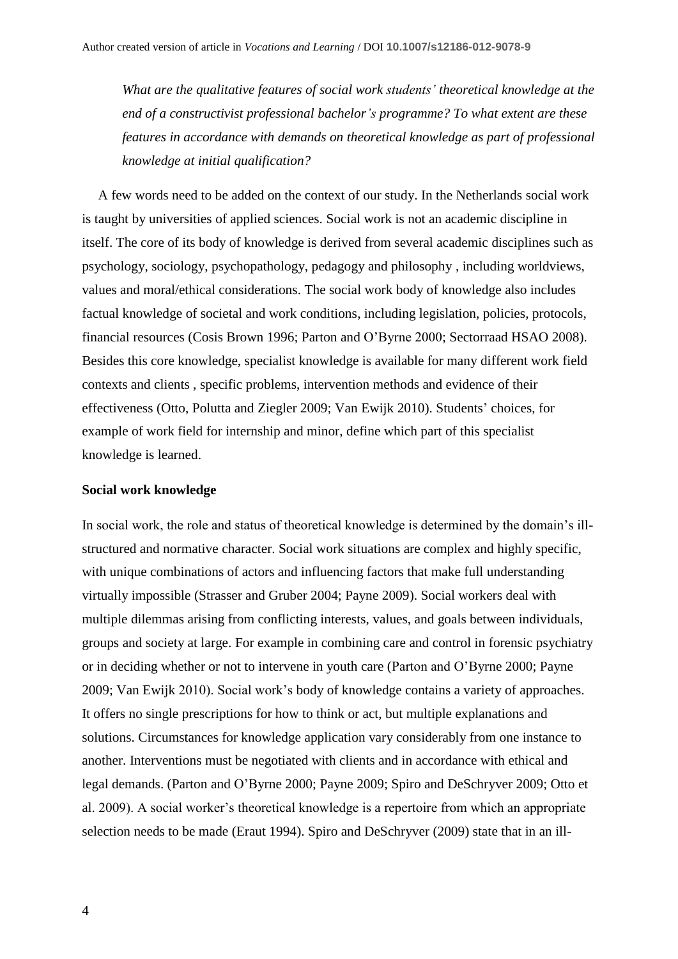*What are the qualitative features of social work students' theoretical knowledge at the end of a constructivist professional bachelor's programme? To what extent are these features in accordance with demands on theoretical knowledge as part of professional knowledge at initial qualification?*

A few words need to be added on the context of our study. In the Netherlands social work is taught by universities of applied sciences. Social work is not an academic discipline in itself. The core of its body of knowledge is derived from several academic disciplines such as psychology, sociology, psychopathology, pedagogy and philosophy , including worldviews, values and moral/ethical considerations. The social work body of knowledge also includes factual knowledge of societal and work conditions, including legislation, policies, protocols, financial resources (Cosis Brown 1996; Parton and O'Byrne 2000; Sectorraad HSAO 2008). Besides this core knowledge, specialist knowledge is available for many different work field contexts and clients , specific problems, intervention methods and evidence of their effectiveness (Otto, Polutta and Ziegler 2009; Van Ewijk 2010). Students' choices, for example of work field for internship and minor, define which part of this specialist knowledge is learned.

# **Social work knowledge**

In social work, the role and status of theoretical knowledge is determined by the domain's illstructured and normative character. Social work situations are complex and highly specific, with unique combinations of actors and influencing factors that make full understanding virtually impossible (Strasser and Gruber 2004; Payne 2009). Social workers deal with multiple dilemmas arising from conflicting interests, values, and goals between individuals, groups and society at large. For example in combining care and control in forensic psychiatry or in deciding whether or not to intervene in youth care (Parton and O'Byrne 2000; Payne 2009; Van Ewijk 2010). Social work's body of knowledge contains a variety of approaches. It offers no single prescriptions for how to think or act, but multiple explanations and solutions. Circumstances for knowledge application vary considerably from one instance to another. Interventions must be negotiated with clients and in accordance with ethical and legal demands. (Parton and O'Byrne 2000; Payne 2009; Spiro and DeSchryver 2009; Otto et al. 2009). A social worker's theoretical knowledge is a repertoire from which an appropriate selection needs to be made (Eraut 1994). Spiro and DeSchryver (2009) state that in an ill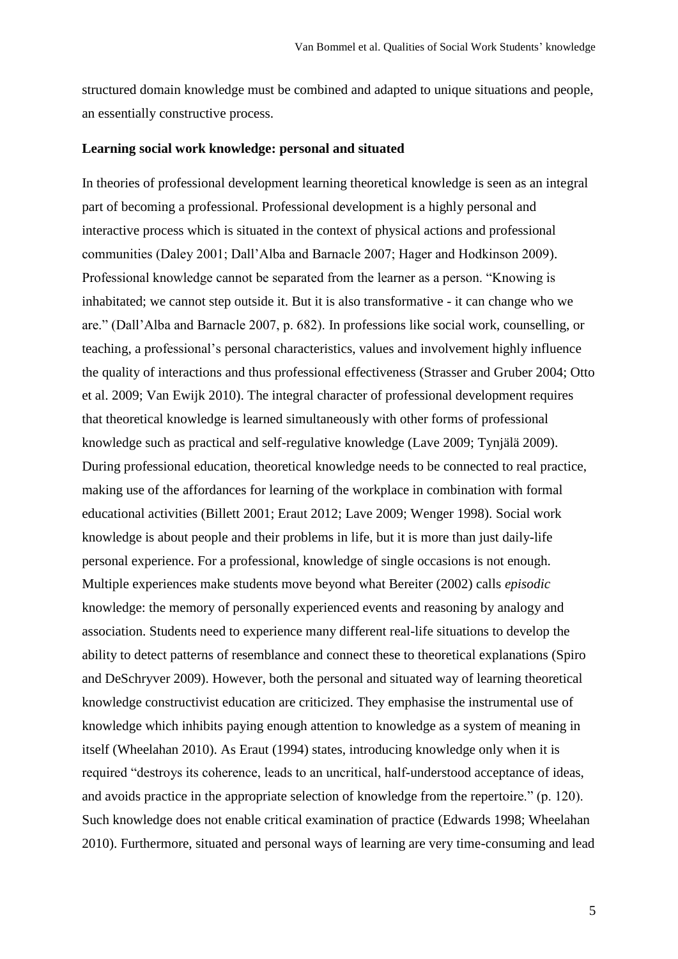structured domain knowledge must be combined and adapted to unique situations and people, an essentially constructive process.

# **Learning social work knowledge: personal and situated**

In theories of professional development learning theoretical knowledge is seen as an integral part of becoming a professional. Professional development is a highly personal and interactive process which is situated in the context of physical actions and professional communities (Daley 2001; Dall'Alba and Barnacle 2007; Hager and Hodkinson 2009). Professional knowledge cannot be separated from the learner as a person. "Knowing is inhabitated; we cannot step outside it. But it is also transformative - it can change who we are." (Dall'Alba and Barnacle 2007, p. 682). In professions like social work, counselling, or teaching, a professional's personal characteristics, values and involvement highly influence the quality of interactions and thus professional effectiveness (Strasser and Gruber 2004; Otto et al. 2009; Van Ewijk 2010). The integral character of professional development requires that theoretical knowledge is learned simultaneously with other forms of professional knowledge such as practical and self-regulative knowledge (Lave 2009; Tynjälä 2009). During professional education, theoretical knowledge needs to be connected to real practice, making use of the affordances for learning of the workplace in combination with formal educational activities (Billett 2001; Eraut 2012; Lave 2009; Wenger 1998). Social work knowledge is about people and their problems in life, but it is more than just daily-life personal experience. For a professional, knowledge of single occasions is not enough. Multiple experiences make students move beyond what Bereiter (2002) calls *episodic* knowledge: the memory of personally experienced events and reasoning by analogy and association. Students need to experience many different real-life situations to develop the ability to detect patterns of resemblance and connect these to theoretical explanations (Spiro and DeSchryver 2009). However, both the personal and situated way of learning theoretical knowledge constructivist education are criticized. They emphasise the instrumental use of knowledge which inhibits paying enough attention to knowledge as a system of meaning in itself (Wheelahan 2010). As Eraut (1994) states, introducing knowledge only when it is required "destroys its coherence, leads to an uncritical, half-understood acceptance of ideas, and avoids practice in the appropriate selection of knowledge from the repertoire." (p. 120). Such knowledge does not enable critical examination of practice (Edwards 1998; Wheelahan 2010). Furthermore, situated and personal ways of learning are very time-consuming and lead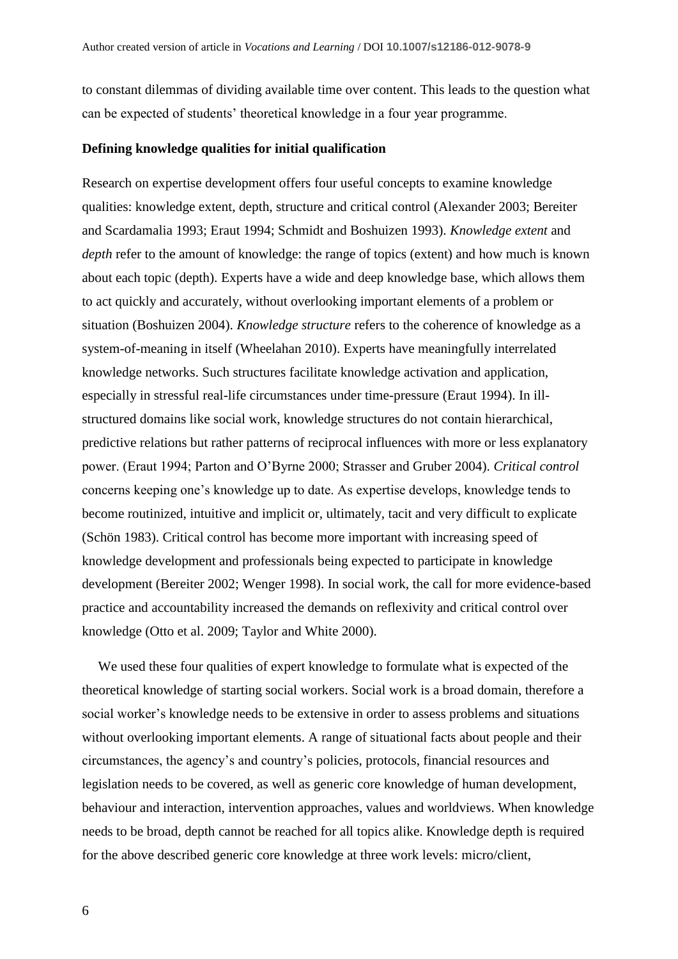to constant dilemmas of dividing available time over content. This leads to the question what can be expected of students' theoretical knowledge in a four year programme.

# **Defining knowledge qualities for initial qualification**

Research on expertise development offers four useful concepts to examine knowledge qualities: knowledge extent, depth, structure and critical control (Alexander 2003; Bereiter and Scardamalia 1993; Eraut 1994; Schmidt and Boshuizen 1993). *Knowledge extent* and *depth* refer to the amount of knowledge: the range of topics (extent) and how much is known about each topic (depth). Experts have a wide and deep knowledge base, which allows them to act quickly and accurately, without overlooking important elements of a problem or situation (Boshuizen 2004). *Knowledge structure* refers to the coherence of knowledge as a system-of-meaning in itself (Wheelahan 2010). Experts have meaningfully interrelated knowledge networks. Such structures facilitate knowledge activation and application, especially in stressful real-life circumstances under time-pressure (Eraut 1994). In illstructured domains like social work, knowledge structures do not contain hierarchical, predictive relations but rather patterns of reciprocal influences with more or less explanatory power. (Eraut 1994; Parton and O'Byrne 2000; Strasser and Gruber 2004). *Critical control*  concerns keeping one's knowledge up to date. As expertise develops, knowledge tends to become routinized, intuitive and implicit or, ultimately, tacit and very difficult to explicate (Schön 1983). Critical control has become more important with increasing speed of knowledge development and professionals being expected to participate in knowledge development (Bereiter 2002; Wenger 1998). In social work, the call for more evidence-based practice and accountability increased the demands on reflexivity and critical control over knowledge (Otto et al. 2009; Taylor and White 2000).

We used these four qualities of expert knowledge to formulate what is expected of the theoretical knowledge of starting social workers. Social work is a broad domain, therefore a social worker's knowledge needs to be extensive in order to assess problems and situations without overlooking important elements. A range of situational facts about people and their circumstances, the agency's and country's policies, protocols, financial resources and legislation needs to be covered, as well as generic core knowledge of human development, behaviour and interaction, intervention approaches, values and worldviews. When knowledge needs to be broad, depth cannot be reached for all topics alike. Knowledge depth is required for the above described generic core knowledge at three work levels: micro/client,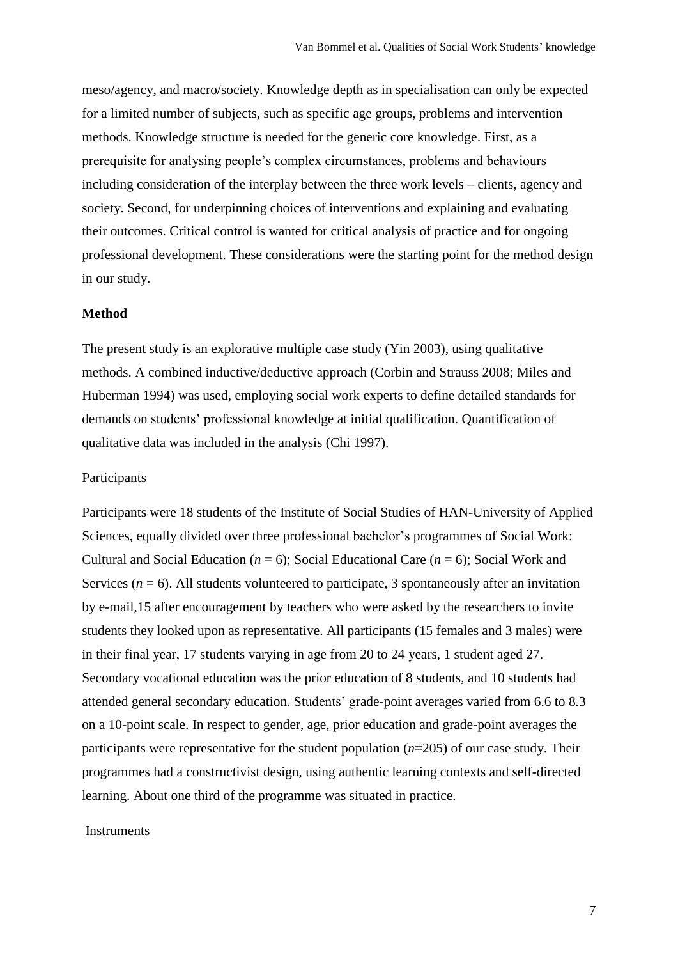meso/agency, and macro/society. Knowledge depth as in specialisation can only be expected for a limited number of subjects, such as specific age groups, problems and intervention methods. Knowledge structure is needed for the generic core knowledge. First, as a prerequisite for analysing people's complex circumstances, problems and behaviours including consideration of the interplay between the three work levels – clients, agency and society. Second, for underpinning choices of interventions and explaining and evaluating their outcomes. Critical control is wanted for critical analysis of practice and for ongoing professional development. These considerations were the starting point for the method design in our study.

# **Method**

The present study is an explorative multiple case study (Yin 2003), using qualitative methods. A combined inductive/deductive approach (Corbin and Strauss 2008; Miles and Huberman 1994) was used, employing social work experts to define detailed standards for demands on students' professional knowledge at initial qualification. Quantification of qualitative data was included in the analysis (Chi 1997).

# Participants

Participants were 18 students of the Institute of Social Studies of HAN-University of Applied Sciences, equally divided over three professional bachelor's programmes of Social Work: Cultural and Social Education (*n* = 6); Social Educational Care (*n* = 6); Social Work and Services ( $n = 6$ ). All students volunteered to participate, 3 spontaneously after an invitation by e-mail,15 after encouragement by teachers who were asked by the researchers to invite students they looked upon as representative. All participants (15 females and 3 males) were in their final year, 17 students varying in age from 20 to 24 years, 1 student aged 27. Secondary vocational education was the prior education of 8 students, and 10 students had attended general secondary education. Students' grade-point averages varied from 6.6 to 8.3 on a 10-point scale. In respect to gender, age, prior education and grade-point averages the participants were representative for the student population (*n*=205) of our case study. Their programmes had a constructivist design, using authentic learning contexts and self-directed learning. About one third of the programme was situated in practice.

# **Instruments**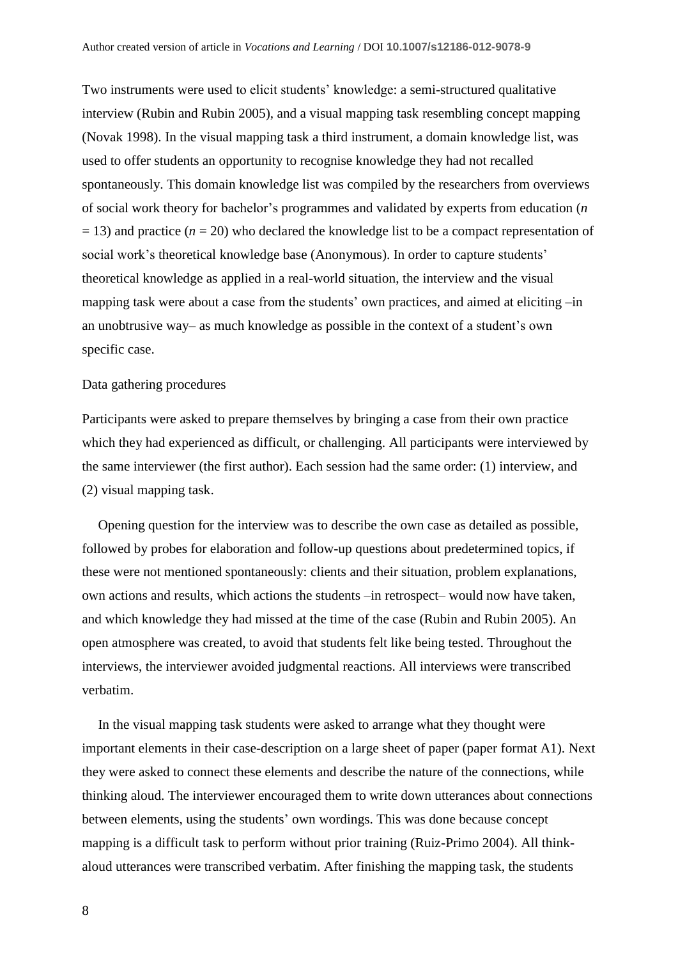Two instruments were used to elicit students' knowledge: a semi-structured qualitative interview (Rubin and Rubin 2005), and a visual mapping task resembling concept mapping (Novak 1998). In the visual mapping task a third instrument, a domain knowledge list, was used to offer students an opportunity to recognise knowledge they had not recalled spontaneously. This domain knowledge list was compiled by the researchers from overviews of social work theory for bachelor's programmes and validated by experts from education (*n*  $= 13$ ) and practice ( $n = 20$ ) who declared the knowledge list to be a compact representation of social work's theoretical knowledge base (Anonymous). In order to capture students' theoretical knowledge as applied in a real-world situation, the interview and the visual mapping task were about a case from the students' own practices, and aimed at eliciting –in an unobtrusive way– as much knowledge as possible in the context of a student's own specific case.

# Data gathering procedures

Participants were asked to prepare themselves by bringing a case from their own practice which they had experienced as difficult, or challenging. All participants were interviewed by the same interviewer (the first author). Each session had the same order: (1) interview, and (2) visual mapping task.

Opening question for the interview was to describe the own case as detailed as possible, followed by probes for elaboration and follow-up questions about predetermined topics, if these were not mentioned spontaneously: clients and their situation, problem explanations, own actions and results, which actions the students –in retrospect– would now have taken, and which knowledge they had missed at the time of the case (Rubin and Rubin 2005). An open atmosphere was created, to avoid that students felt like being tested. Throughout the interviews, the interviewer avoided judgmental reactions. All interviews were transcribed verbatim.

In the visual mapping task students were asked to arrange what they thought were important elements in their case-description on a large sheet of paper (paper format A1). Next they were asked to connect these elements and describe the nature of the connections, while thinking aloud. The interviewer encouraged them to write down utterances about connections between elements, using the students' own wordings. This was done because concept mapping is a difficult task to perform without prior training (Ruiz-Primo 2004). All thinkaloud utterances were transcribed verbatim. After finishing the mapping task, the students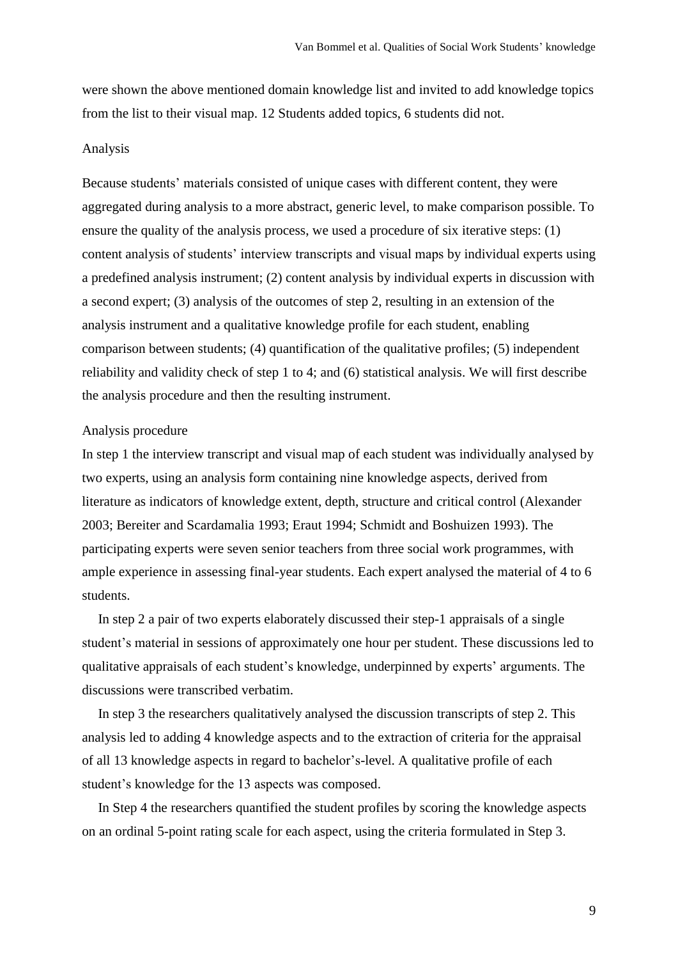were shown the above mentioned domain knowledge list and invited to add knowledge topics from the list to their visual map. 12 Students added topics, 6 students did not.

# Analysis

Because students' materials consisted of unique cases with different content, they were aggregated during analysis to a more abstract, generic level, to make comparison possible. To ensure the quality of the analysis process, we used a procedure of six iterative steps: (1) content analysis of students' interview transcripts and visual maps by individual experts using a predefined analysis instrument; (2) content analysis by individual experts in discussion with a second expert; (3) analysis of the outcomes of step 2, resulting in an extension of the analysis instrument and a qualitative knowledge profile for each student, enabling comparison between students; (4) quantification of the qualitative profiles; (5) independent reliability and validity check of step 1 to 4; and (6) statistical analysis. We will first describe the analysis procedure and then the resulting instrument.

# Analysis procedure

In step 1 the interview transcript and visual map of each student was individually analysed by two experts, using an analysis form containing nine knowledge aspects, derived from literature as indicators of knowledge extent, depth, structure and critical control (Alexander 2003; Bereiter and Scardamalia 1993; Eraut 1994; Schmidt and Boshuizen 1993). The participating experts were seven senior teachers from three social work programmes, with ample experience in assessing final-year students. Each expert analysed the material of 4 to 6 students.

In step 2 a pair of two experts elaborately discussed their step-1 appraisals of a single student's material in sessions of approximately one hour per student. These discussions led to qualitative appraisals of each student's knowledge, underpinned by experts' arguments. The discussions were transcribed verbatim.

In step 3 the researchers qualitatively analysed the discussion transcripts of step 2. This analysis led to adding 4 knowledge aspects and to the extraction of criteria for the appraisal of all 13 knowledge aspects in regard to bachelor's-level. A qualitative profile of each student's knowledge for the 13 aspects was composed.

In Step 4 the researchers quantified the student profiles by scoring the knowledge aspects on an ordinal 5-point rating scale for each aspect, using the criteria formulated in Step 3.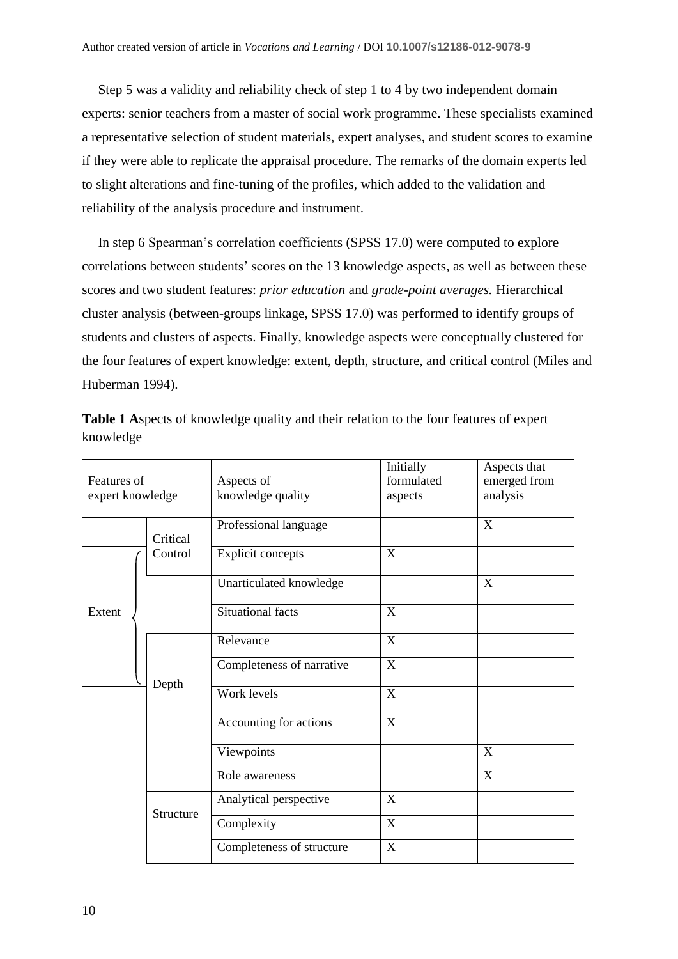Step 5 was a validity and reliability check of step 1 to 4 by two independent domain experts: senior teachers from a master of social work programme. These specialists examined a representative selection of student materials, expert analyses, and student scores to examine if they were able to replicate the appraisal procedure. The remarks of the domain experts led to slight alterations and fine-tuning of the profiles, which added to the validation and reliability of the analysis procedure and instrument.

In step 6 Spearman's correlation coefficients (SPSS 17.0) were computed to explore correlations between students' scores on the 13 knowledge aspects, as well as between these scores and two student features: *prior education* and *grade-point averages.* Hierarchical cluster analysis (between-groups linkage, SPSS 17.0) was performed to identify groups of students and clusters of aspects. Finally, knowledge aspects were conceptually clustered for the four features of expert knowledge: extent, depth, structure, and critical control (Miles and Huberman 1994).

|           | <b>Table 1 Aspects of knowledge quality and their relation to the four features of expert</b> |  |  |  |  |
|-----------|-----------------------------------------------------------------------------------------------|--|--|--|--|
| knowledge |                                                                                               |  |  |  |  |

| Features of<br>expert knowledge |           | Aspects of<br>knowledge quality | Initially<br>formulated<br>aspects | Aspects that<br>emerged from<br>analysis |
|---------------------------------|-----------|---------------------------------|------------------------------------|------------------------------------------|
|                                 | Critical  | Professional language           |                                    | $\boldsymbol{X}$                         |
|                                 | Control   | <b>Explicit concepts</b>        | X                                  |                                          |
|                                 |           | Unarticulated knowledge         |                                    | X                                        |
| Extent                          |           | Situational facts               | X                                  |                                          |
|                                 |           | Relevance                       | $\mathbf X$                        |                                          |
|                                 |           | Completeness of narrative       | X                                  |                                          |
|                                 | Depth     | Work levels                     | X                                  |                                          |
|                                 |           | Accounting for actions          | X                                  |                                          |
|                                 |           | Viewpoints                      |                                    | $\mathbf X$                              |
|                                 |           | Role awareness                  |                                    | $\mathbf X$                              |
|                                 | Structure | Analytical perspective          | X                                  |                                          |
|                                 |           | Complexity                      | X                                  |                                          |
|                                 |           | Completeness of structure       | $\mathbf X$                        |                                          |

10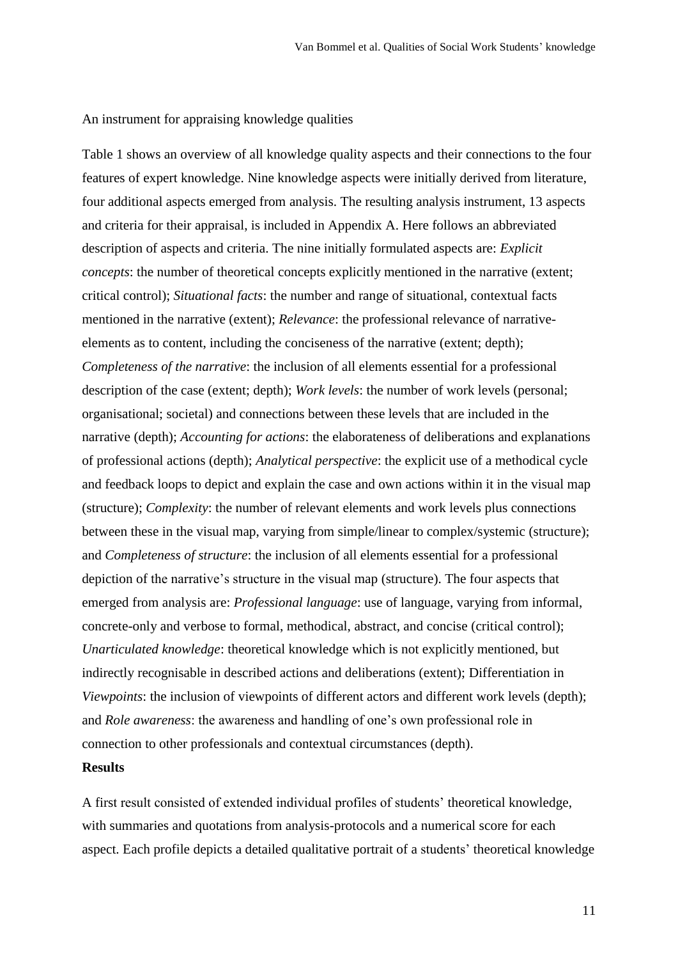An instrument for appraising knowledge qualities

Table 1 shows an overview of all knowledge quality aspects and their connections to the four features of expert knowledge. Nine knowledge aspects were initially derived from literature, four additional aspects emerged from analysis. The resulting analysis instrument, 13 aspects and criteria for their appraisal, is included in Appendix A. Here follows an abbreviated description of aspects and criteria. The nine initially formulated aspects are: *Explicit concepts*: the number of theoretical concepts explicitly mentioned in the narrative (extent; critical control); *Situational facts*: the number and range of situational, contextual facts mentioned in the narrative (extent); *Relevance*: the professional relevance of narrativeelements as to content, including the conciseness of the narrative (extent; depth); *Completeness of the narrative*: the inclusion of all elements essential for a professional description of the case (extent; depth); *Work levels*: the number of work levels (personal; organisational; societal) and connections between these levels that are included in the narrative (depth); *Accounting for actions*: the elaborateness of deliberations and explanations of professional actions (depth); *Analytical perspective*: the explicit use of a methodical cycle and feedback loops to depict and explain the case and own actions within it in the visual map (structure); *Complexity*: the number of relevant elements and work levels plus connections between these in the visual map, varying from simple/linear to complex/systemic (structure); and *Completeness of structure*: the inclusion of all elements essential for a professional depiction of the narrative's structure in the visual map (structure). The four aspects that emerged from analysis are: *Professional language*: use of language, varying from informal, concrete-only and verbose to formal, methodical, abstract, and concise (critical control); *Unarticulated knowledge*: theoretical knowledge which is not explicitly mentioned, but indirectly recognisable in described actions and deliberations (extent); Differentiation in *Viewpoints*: the inclusion of viewpoints of different actors and different work levels (depth); and *Role awareness*: the awareness and handling of one's own professional role in connection to other professionals and contextual circumstances (depth).

# **Results**

A first result consisted of extended individual profiles of students' theoretical knowledge, with summaries and quotations from analysis-protocols and a numerical score for each aspect. Each profile depicts a detailed qualitative portrait of a students' theoretical knowledge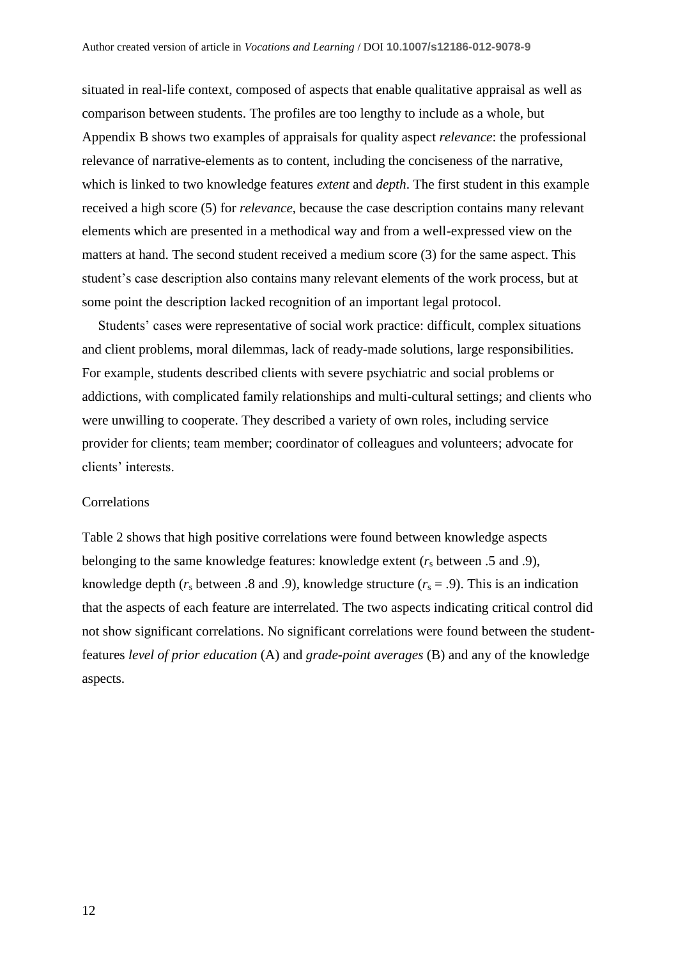situated in real-life context, composed of aspects that enable qualitative appraisal as well as comparison between students. The profiles are too lengthy to include as a whole, but Appendix B shows two examples of appraisals for quality aspect *relevance*: the professional relevance of narrative-elements as to content, including the conciseness of the narrative, which is linked to two knowledge features *extent* and *depth*. The first student in this example received a high score (5) for *relevance*, because the case description contains many relevant elements which are presented in a methodical way and from a well-expressed view on the matters at hand. The second student received a medium score (3) for the same aspect. This student's case description also contains many relevant elements of the work process, but at some point the description lacked recognition of an important legal protocol.

Students' cases were representative of social work practice: difficult, complex situations and client problems, moral dilemmas, lack of ready-made solutions, large responsibilities. For example, students described clients with severe psychiatric and social problems or addictions, with complicated family relationships and multi-cultural settings; and clients who were unwilling to cooperate. They described a variety of own roles, including service provider for clients; team member; coordinator of colleagues and volunteers; advocate for clients' interests.

# **Correlations**

Table 2 shows that high positive correlations were found between knowledge aspects belonging to the same knowledge features: knowledge extent  $(r<sub>s</sub>)$  between .5 and .9), knowledge depth  $(r<sub>s</sub>$  between .8 and .9), knowledge structure  $(r<sub>s</sub> = .9)$ . This is an indication that the aspects of each feature are interrelated. The two aspects indicating critical control did not show significant correlations. No significant correlations were found between the studentfeatures *level of prior education* (A) and *grade-point averages* (B) and any of the knowledge aspects.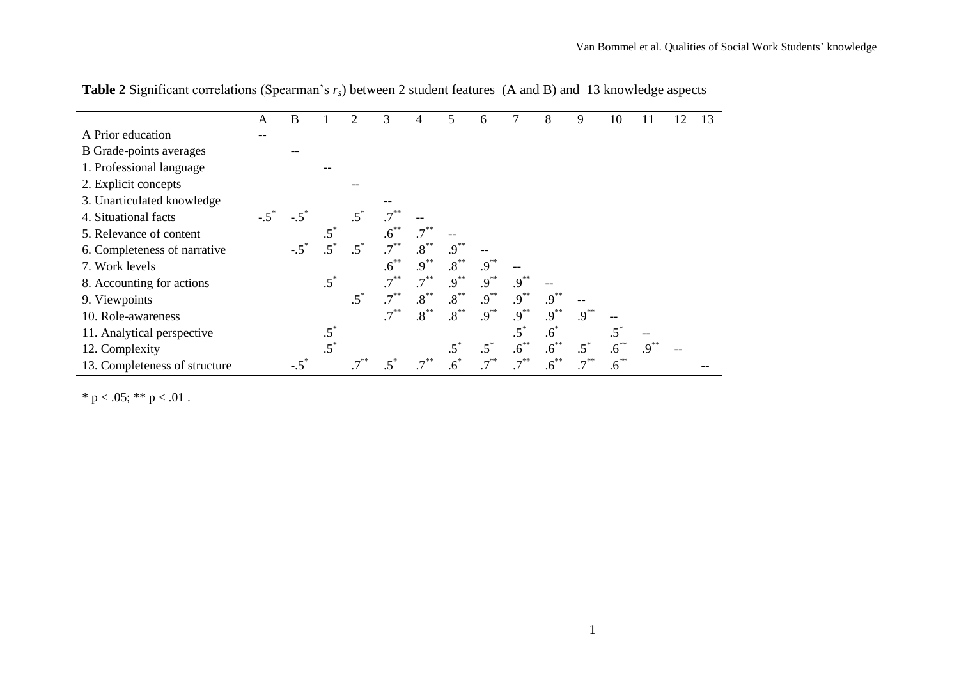|                                | A | B           |        | 2      | 3                  | 4         | 5               | 6              | 7         | 8         | 9       | 10        | 11        | 12 | 13 |
|--------------------------------|---|-------------|--------|--------|--------------------|-----------|-----------------|----------------|-----------|-----------|---------|-----------|-----------|----|----|
| A Prior education              |   |             |        |        |                    |           |                 |                |           |           |         |           |           |    |    |
| <b>B</b> Grade-points averages |   |             |        |        |                    |           |                 |                |           |           |         |           |           |    |    |
| 1. Professional language       |   |             |        |        |                    |           |                 |                |           |           |         |           |           |    |    |
| 2. Explicit concepts           |   |             |        |        |                    |           |                 |                |           |           |         |           |           |    |    |
| 3. Unarticulated knowledge     |   |             |        |        |                    |           |                 |                |           |           |         |           |           |    |    |
| 4. Situational facts           |   | $-.5$       |        |        | $.7^{**}$          |           |                 |                |           |           |         |           |           |    |    |
| 5. Relevance of content        |   |             |        |        | $.6^{**}$          |           |                 |                |           |           |         |           |           |    |    |
| 6. Completeness of narrative   |   | $-.5^\circ$ |        | $.5^*$ | $.7$ <sup>**</sup> | $.8***$   | $.9^{**}$       |                |           |           |         |           |           |    |    |
| 7. Work levels                 |   |             |        |        | $.6^{**}$          | $.9^{**}$ | $.8***$         | $.9^{**}$      |           |           |         |           |           |    |    |
| 8. Accounting for actions      |   |             | $.5^*$ |        | $.7***$            | $.7***$   | $.9^{**}$       | $.9^{**}$      | $.9***$   |           |         |           |           |    |    |
| 9. Viewpoints                  |   |             |        | $.5^*$ | $.7***$            | $.8***$   | $.8^{\ast\ast}$ | $.9^{**}$      | $.9^{**}$ | $.9^{**}$ |         |           |           |    |    |
| 10. Role-awareness             |   |             |        |        | $.7***$            | $.8***$   | $.8***$         | $.9^{**}$      | $.9^{**}$ | $.9***$   | $.9***$ |           |           |    |    |
| 11. Analytical perspective     |   |             | $.5^*$ |        |                    |           |                 |                | $.5^*$    | $.6^*$    |         | $.5^*$    |           |    |    |
| 12. Complexity                 |   |             |        |        |                    |           |                 |                | $.6^{**}$ | $.6^{**}$ | $.5^*$  | $.6***$   | $.9^{**}$ |    |    |
| 13. Completeness of structure  |   |             |        |        |                    |           |                 | $\overline{7}$ |           | $.6^{**}$ |         | $.6^{**}$ |           |    |    |

**Table 2** Significant correlations (Spearman's *rs*) between 2 student features (A and B) and 13 knowledge aspects

\* p < .05; \*\* p < .01.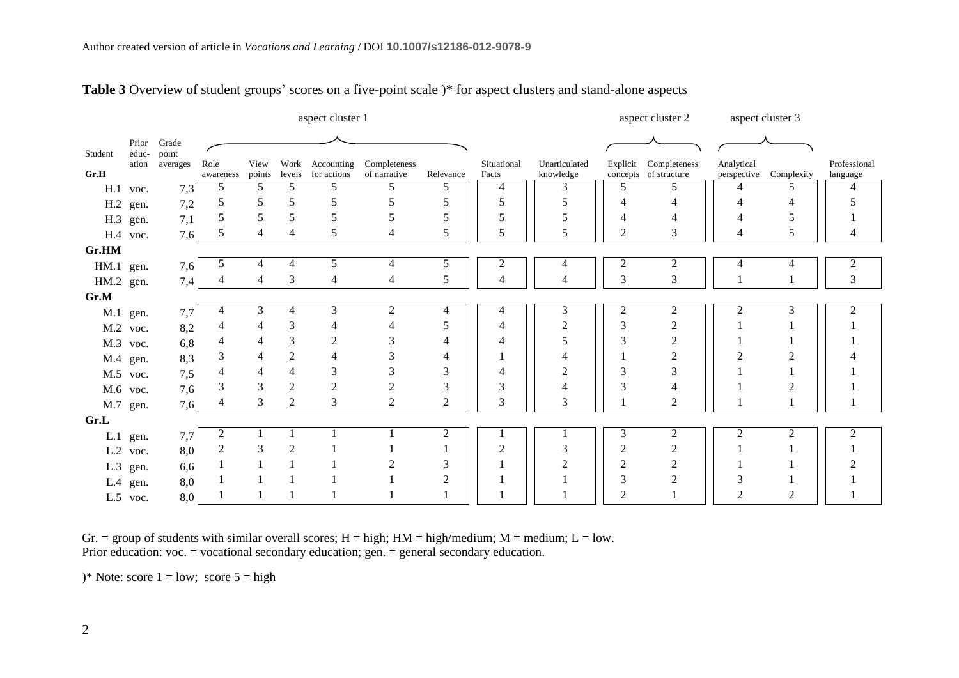|           |                |                |                |                |                | aspect cluster 1 |                |                |             |                |                | aspect cluster 2      |                | aspect cluster 3       |                             |
|-----------|----------------|----------------|----------------|----------------|----------------|------------------|----------------|----------------|-------------|----------------|----------------|-----------------------|----------------|------------------------|-----------------------------|
| Student   | Prior<br>educ- | Grade<br>point |                |                |                |                  |                |                |             |                |                |                       |                |                        |                             |
|           | ation          | averages       | Role           | View           | Work           | Accounting       | Completeness   |                | Situational | Unarticulated  |                | Explicit Completeness | Analytical     |                        | Professional                |
| Gr.H      |                |                | awareness      | points         | levels         | for actions      | of narrative   | Relevance      | Facts       | knowledge      |                | concepts of structure |                | perspective Complexity | language                    |
| H.1       | voc.           | 7,3            | 5              | 5              | 5              | 5                | 5              | 5              | 4           | 3              | 5              | 5                     | 4              | 5                      | 4                           |
|           | H.2 gen.       | 7,2            | 5              | 5              | 5              | 5                | 5              |                |             | 5              |                |                       |                |                        |                             |
|           | H.3 gen.       | 7,1            | 5              | 5              | 5              | 5                | 5              | 5              | 5           | 5              |                |                       | 4              |                        |                             |
|           | H.4 voc.       | 7,6            | 5              | 4              | $\overline{4}$ | 5                | 4              | 5              | 5           | 5              | $\overline{2}$ | 3                     | 4              | 5                      |                             |
| Gr.HM     |                |                |                |                |                |                  |                |                |             |                |                |                       |                |                        |                             |
| HM.1      | gen.           | 7,6            | 5              | $\overline{4}$ | $\overline{4}$ | 5                | 4              | 5              | 2           | 4              | $\overline{c}$ | $\overline{c}$        | 4              | 4                      | $\overline{c}$              |
| HM.2 gen. |                | 7,4            | 4              | 4              | 3              | 4                | 4              | 5              | 4           | $\overline{4}$ | $\mathfrak{Z}$ | 3                     |                |                        | 3                           |
| Gr.M      |                |                |                |                |                |                  |                |                |             |                |                |                       |                |                        |                             |
|           | M.1 gen.       | 7,7            |                | 3              | $\overline{4}$ | 3                | $\overline{2}$ | 4              | 4           | 3              | $\overline{c}$ | 2                     | $\mathfrak{2}$ | 3                      | $\mathcal{D}_{\mathcal{L}}$ |
|           | M.2 voc.       | 8,2            |                | 4              | 3              |                  |                | 5              | 4           | $\overline{2}$ | 3              |                       |                |                        |                             |
|           | M.3 voc.       | 6,8            |                | $\overline{4}$ | 3              | $\overline{2}$   | 3              |                | 4           | 5              | 3              |                       |                |                        |                             |
|           | M.4 gen.       | 8,3            | 3              | 4              | $\overline{2}$ |                  | 3              | 4              |             |                |                |                       |                |                        |                             |
|           | M.5 voc.       | 7,5            | 4              | $\overline{4}$ | 4              |                  | 3              | 3              | Δ           |                |                |                       |                |                        |                             |
|           | M.6 voc.       | 7,6            | 3              | 3              | 2              | $\overline{2}$   | 2              | 3              | 3           | Δ              | 3              |                       |                |                        |                             |
|           | M.7 gen.       | 7,6            | 4              | 3              | $\overline{2}$ | 3                | $\overline{2}$ | $\overline{2}$ | 3           | 3              |                | 2                     |                |                        |                             |
| Gr.L      |                |                |                |                |                |                  |                |                |             |                |                |                       |                |                        |                             |
| L.1       | gen.           | 7,7            | 2              |                |                |                  |                | 2              |             |                | 3              | $\overline{2}$        | 2              | $\mathfrak{D}$         |                             |
| L.2       | voc.           | 8,0            | $\overline{2}$ | 3              | 2              |                  |                |                | ി           | 3              | $\overline{2}$ | $\overline{2}$        |                |                        |                             |
| L.3       | gen.           | 6,6            |                |                |                |                  | 2              | 3              |             | $\overline{2}$ | 2              | 2                     |                |                        |                             |
|           | $L.4$ gen.     | 8,0            |                |                |                |                  |                | 2              |             |                | 3              |                       | 3              |                        |                             |
|           | L.5 voc.       | 8,0            |                |                |                |                  |                |                |             |                | 2              |                       | 2              | 2                      |                             |

# **Table 3** Overview of student groups' scores on a five-point scale )\* for aspect clusters and stand-alone aspects

Gr. = group of students with similar overall scores;  $H = high$ ;  $HM = high/medium$ ;  $M = medium$ ;  $L = low$ . Prior education: voc. = vocational secondary education; gen. = general secondary education.

)\* Note: score  $1 = low$ ; score  $5 = high$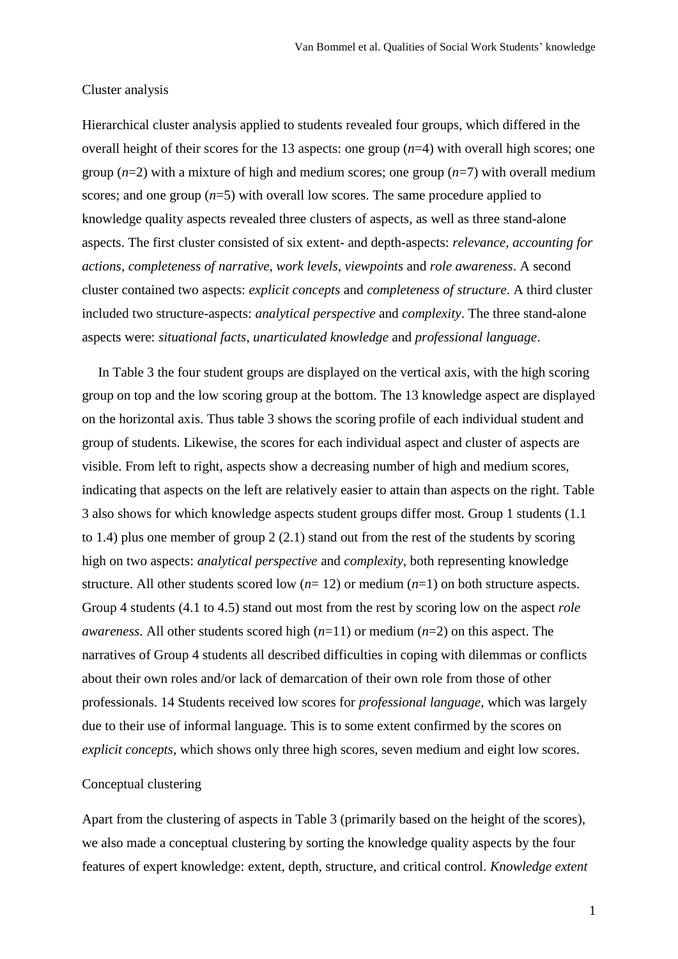# Cluster analysis

Hierarchical cluster analysis applied to students revealed four groups, which differed in the overall height of their scores for the 13 aspects: one group (*n*=4) with overall high scores; one group (*n*=2) with a mixture of high and medium scores; one group (*n*=7) with overall medium scores; and one group (*n*=5) with overall low scores. The same procedure applied to knowledge quality aspects revealed three clusters of aspects, as well as three stand-alone aspects. The first cluster consisted of six extent- and depth-aspects: *relevance, accounting for actions, completeness of narrative, work levels, viewpoints* and *role awareness*. A second cluster contained two aspects: *explicit concepts* and *completeness of structure*. A third cluster included two structure-aspects: *analytical perspective* and *complexity*. The three stand-alone aspects were: *situational facts*, *unarticulated knowledge* and *professional language*.

In Table 3 the four student groups are displayed on the vertical axis, with the high scoring group on top and the low scoring group at the bottom. The 13 knowledge aspect are displayed on the horizontal axis. Thus table 3 shows the scoring profile of each individual student and group of students. Likewise, the scores for each individual aspect and cluster of aspects are visible. From left to right, aspects show a decreasing number of high and medium scores, indicating that aspects on the left are relatively easier to attain than aspects on the right. Table 3 also shows for which knowledge aspects student groups differ most. Group 1 students (1.1 to 1.4) plus one member of group 2 (2.1) stand out from the rest of the students by scoring high on two aspects: *analytical perspective* and *complexity*, both representing knowledge structure. All other students scored low (*n*= 12) or medium (*n*=1) on both structure aspects. Group 4 students (4.1 to 4.5) stand out most from the rest by scoring low on the aspect *role awareness.* All other students scored high (*n*=11) or medium (*n*=2) on this aspect. The narratives of Group 4 students all described difficulties in coping with dilemmas or conflicts about their own roles and/or lack of demarcation of their own role from those of other professionals. 14 Students received low scores for *professional language*, which was largely due to their use of informal language. This is to some extent confirmed by the scores on *explicit concepts*, which shows only three high scores, seven medium and eight low scores.

# Conceptual clustering

Apart from the clustering of aspects in Table 3 (primarily based on the height of the scores), we also made a conceptual clustering by sorting the knowledge quality aspects by the four features of expert knowledge: extent, depth, structure, and critical control. *Knowledge extent*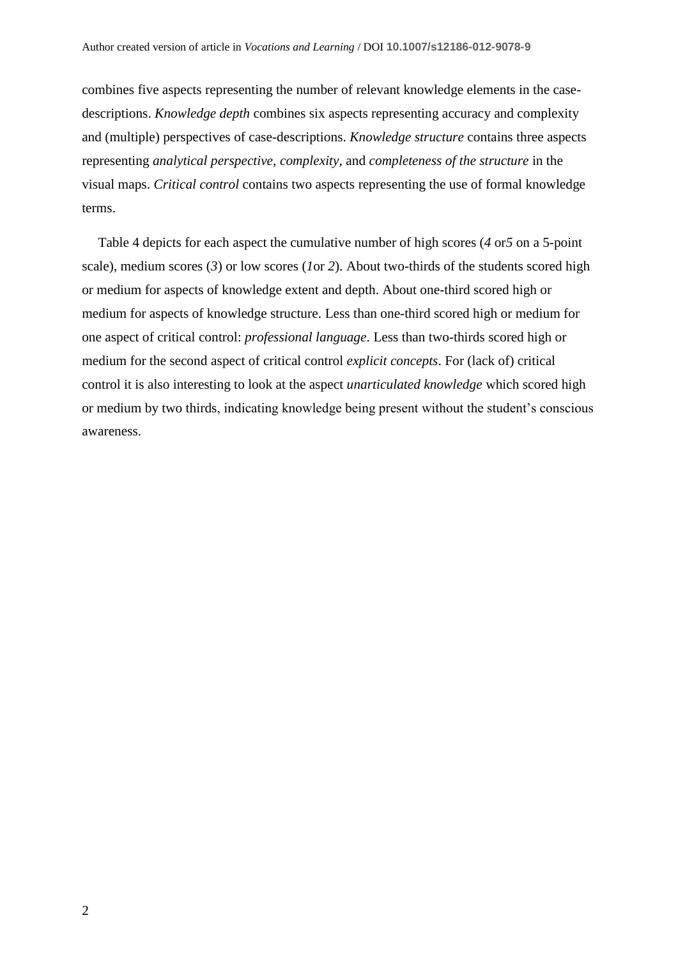combines five aspects representing the number of relevant knowledge elements in the casedescriptions. *Knowledge depth* combines six aspects representing accuracy and complexity and (multiple) perspectives of case-descriptions. *Knowledge structure* contains three aspects representing *analytical perspective, complexity,* and *completeness of the structure* in the visual maps. *Critical control* contains two aspects representing the use of formal knowledge terms.

Table 4 depicts for each aspect the cumulative number of high scores (*4* or*5* on a 5-point scale), medium scores (*3*) or low scores (*1*or *2*). About two-thirds of the students scored high or medium for aspects of knowledge extent and depth. About one-third scored high or medium for aspects of knowledge structure. Less than one-third scored high or medium for one aspect of critical control: *professional language*. Less than two-thirds scored high or medium for the second aspect of critical control *explicit concepts*. For (lack of) critical control it is also interesting to look at the aspect *unarticulated knowledge* which scored high or medium by two thirds, indicating knowledge being present without the student's conscious awareness.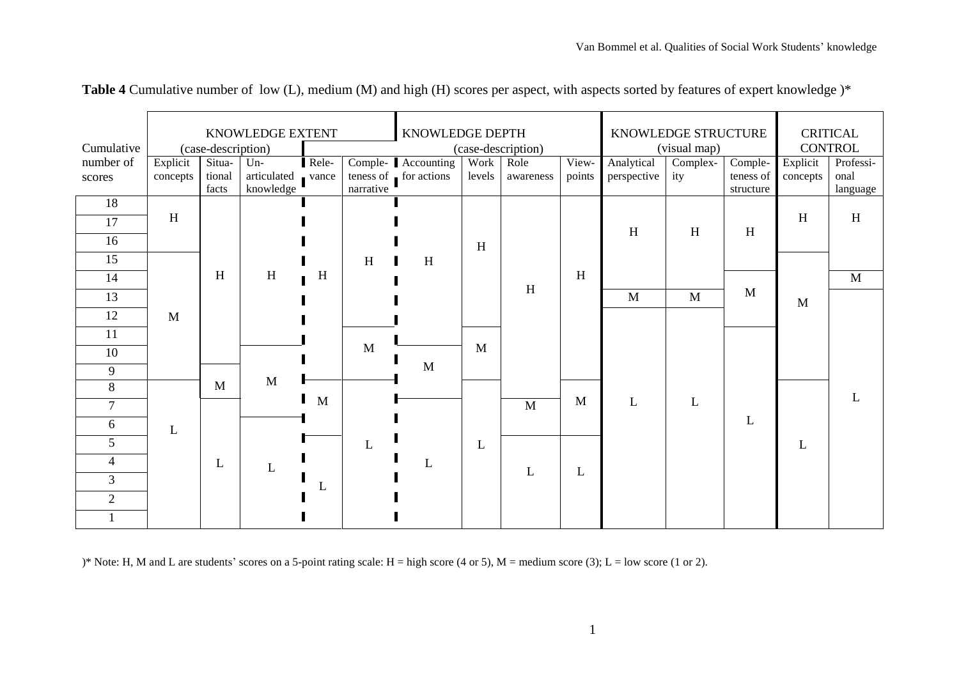|                | KNOWLEDGE EXTENT   |        |             |                    |              | KNOWLEDGE DEPTH       |        |                           | KNOWLEDGE STRUCTURE |              |                           | <b>CRITICAL</b> |          |              |
|----------------|--------------------|--------|-------------|--------------------|--------------|-----------------------|--------|---------------------------|---------------------|--------------|---------------------------|-----------------|----------|--------------|
| Cumulative     | (case-description) |        |             | (case-description) |              |                       |        | (visual map)              |                     |              | <b>CONTROL</b>            |                 |          |              |
| number of      | Explicit           | Situa- | $Un-$       | Rele-              |              | Comple- Accounting    | Work   | Role                      | View-               | Analytical   | Complex-                  | Comple-         | Explicit | Professi-    |
| scores         | concepts           | tional | articulated | vance              |              | teness of for actions | levels | awareness                 | points              | perspective  | ity                       | teness of       | concepts | onal         |
| 18             |                    | facts  | knowledge   |                    | narrative    |                       |        |                           |                     |              |                           | structure       |          | language     |
|                | H                  |        |             |                    |              |                       |        |                           |                     |              |                           |                 | H        | H            |
| 17             |                    |        |             |                    |              |                       |        |                           |                     | $\,$ H       | $\boldsymbol{\mathrm{H}}$ | H               |          |              |
| 16             |                    |        |             |                    |              |                       | H      |                           |                     |              |                           |                 |          |              |
| 15             |                    |        |             |                    | H            | H                     |        |                           |                     |              |                           |                 |          |              |
| 14             |                    | H      | H           | H                  |              |                       |        |                           | H                   |              |                           |                 |          | $\mathbf{M}$ |
| 13             |                    |        |             |                    |              |                       |        | $\boldsymbol{\mathrm{H}}$ |                     | $\mathbf{M}$ | M                         | M               | M        |              |
| 12             | $\mathbf{M}$       |        |             |                    |              |                       |        |                           |                     |              |                           |                 |          |              |
| 11             |                    |        |             |                    |              |                       |        |                           |                     |              |                           |                 |          |              |
| 10             |                    |        |             |                    | $\mathbf{M}$ |                       | M      |                           |                     |              |                           |                 |          |              |
| 9              |                    |        |             |                    |              | M                     |        |                           |                     |              |                           |                 |          |              |
| 8              |                    | M      | M           |                    |              |                       |        |                           |                     |              |                           |                 |          |              |
| $\overline{7}$ |                    |        |             | M                  |              |                       |        | $\mathbf M$               | M                   | L            | L                         |                 |          |              |
| 6              | L                  |        |             |                    |              |                       |        |                           |                     |              |                           | L               |          |              |
| 5              |                    |        |             |                    | L            |                       | L      |                           |                     |              |                           |                 | L        |              |
| $\overline{4}$ |                    | L      | L           |                    |              | L                     |        |                           |                     |              |                           |                 |          |              |
| $\overline{3}$ |                    |        |             | L                  |              |                       |        | L                         | L                   |              |                           |                 |          |              |
| $\overline{2}$ |                    |        |             |                    |              |                       |        |                           |                     |              |                           |                 |          |              |
|                |                    |        |             |                    |              |                       |        |                           |                     |              |                           |                 |          |              |

**Table 4** Cumulative number of low (L), medium (M) and high (H) scores per aspect, with aspects sorted by features of expert knowledge )\*

)\* Note: H, M and L are students' scores on a 5-point rating scale: H = high score (4 or 5), M = medium score (3); L = low score (1 or 2).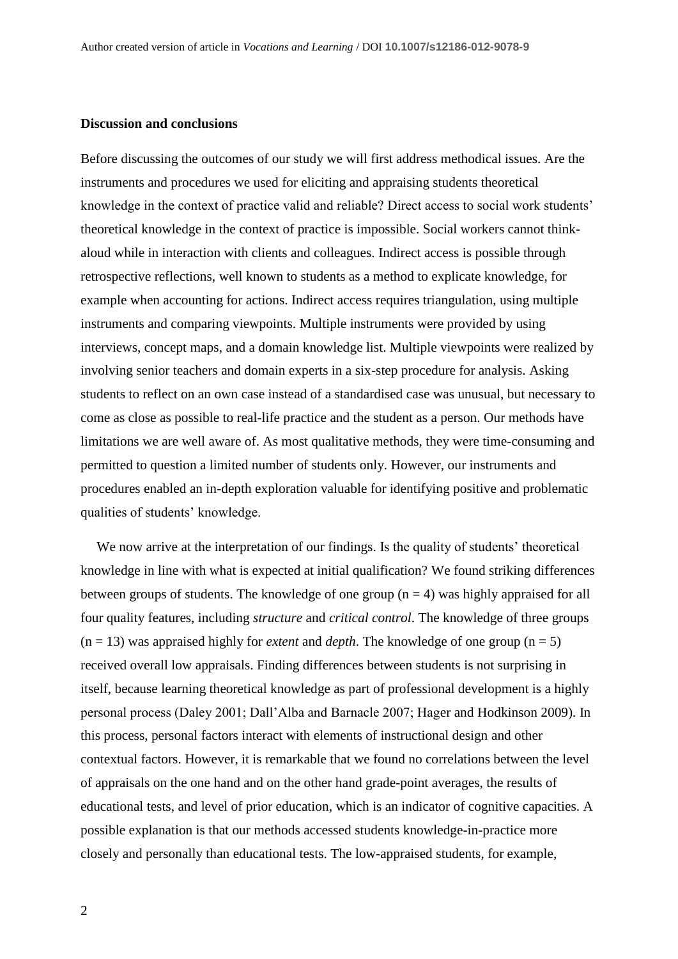## **Discussion and conclusions**

Before discussing the outcomes of our study we will first address methodical issues. Are the instruments and procedures we used for eliciting and appraising students theoretical knowledge in the context of practice valid and reliable? Direct access to social work students' theoretical knowledge in the context of practice is impossible. Social workers cannot thinkaloud while in interaction with clients and colleagues. Indirect access is possible through retrospective reflections, well known to students as a method to explicate knowledge, for example when accounting for actions. Indirect access requires triangulation, using multiple instruments and comparing viewpoints. Multiple instruments were provided by using interviews, concept maps, and a domain knowledge list. Multiple viewpoints were realized by involving senior teachers and domain experts in a six-step procedure for analysis. Asking students to reflect on an own case instead of a standardised case was unusual, but necessary to come as close as possible to real-life practice and the student as a person. Our methods have limitations we are well aware of. As most qualitative methods, they were time-consuming and permitted to question a limited number of students only. However, our instruments and procedures enabled an in-depth exploration valuable for identifying positive and problematic qualities of students' knowledge.

We now arrive at the interpretation of our findings. Is the quality of students' theoretical knowledge in line with what is expected at initial qualification? We found striking differences between groups of students. The knowledge of one group  $(n = 4)$  was highly appraised for all four quality features, including *structure* and *critical control*. The knowledge of three groups  $(n = 13)$  was appraised highly for *extent* and *depth*. The knowledge of one group  $(n = 5)$ received overall low appraisals. Finding differences between students is not surprising in itself, because learning theoretical knowledge as part of professional development is a highly personal process (Daley 2001; Dall'Alba and Barnacle 2007; Hager and Hodkinson 2009). In this process, personal factors interact with elements of instructional design and other contextual factors. However, it is remarkable that we found no correlations between the level of appraisals on the one hand and on the other hand grade-point averages, the results of educational tests, and level of prior education, which is an indicator of cognitive capacities. A possible explanation is that our methods accessed students knowledge-in-practice more closely and personally than educational tests. The low-appraised students, for example,

2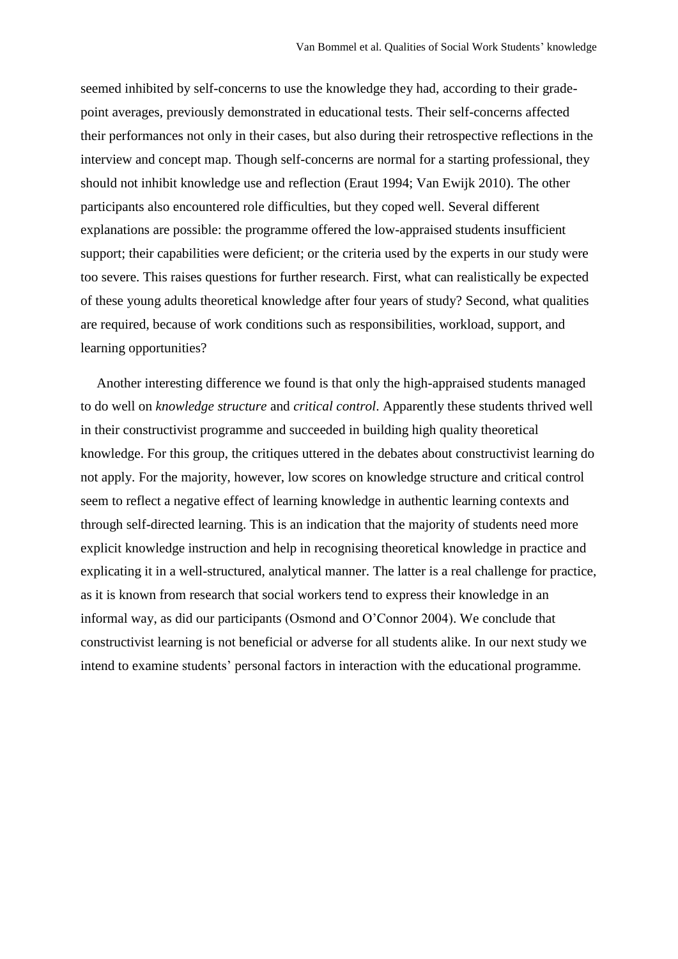seemed inhibited by self-concerns to use the knowledge they had, according to their gradepoint averages, previously demonstrated in educational tests. Their self-concerns affected their performances not only in their cases, but also during their retrospective reflections in the interview and concept map. Though self-concerns are normal for a starting professional, they should not inhibit knowledge use and reflection (Eraut 1994; Van Ewijk 2010). The other participants also encountered role difficulties, but they coped well. Several different explanations are possible: the programme offered the low-appraised students insufficient support; their capabilities were deficient; or the criteria used by the experts in our study were too severe. This raises questions for further research. First, what can realistically be expected of these young adults theoretical knowledge after four years of study? Second, what qualities are required, because of work conditions such as responsibilities, workload, support, and learning opportunities?

Another interesting difference we found is that only the high-appraised students managed to do well on *knowledge structure* and *critical control*. Apparently these students thrived well in their constructivist programme and succeeded in building high quality theoretical knowledge. For this group, the critiques uttered in the debates about constructivist learning do not apply. For the majority, however, low scores on knowledge structure and critical control seem to reflect a negative effect of learning knowledge in authentic learning contexts and through self-directed learning. This is an indication that the majority of students need more explicit knowledge instruction and help in recognising theoretical knowledge in practice and explicating it in a well-structured, analytical manner. The latter is a real challenge for practice, as it is known from research that social workers tend to express their knowledge in an informal way, as did our participants (Osmond and O'Connor 2004). We conclude that constructivist learning is not beneficial or adverse for all students alike. In our next study we intend to examine students' personal factors in interaction with the educational programme.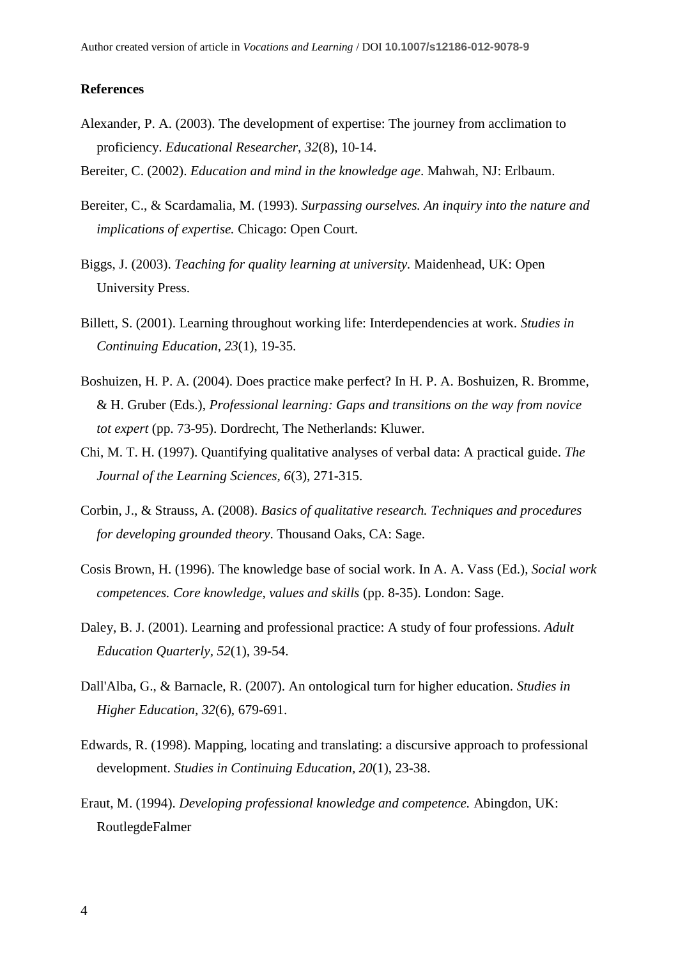#### **References**

- Alexander, P. A. (2003). The development of expertise: The journey from acclimation to proficiency. *Educational Researcher, 32*(8), 10-14.
- Bereiter, C. (2002). *Education and mind in the knowledge age*. Mahwah, NJ: Erlbaum.
- Bereiter, C., & Scardamalia, M. (1993). *Surpassing ourselves. An inquiry into the nature and implications of expertise.* Chicago: Open Court.
- Biggs, J. (2003). *Teaching for quality learning at university.* Maidenhead, UK: Open University Press.
- Billett, S. (2001). Learning throughout working life: Interdependencies at work. *Studies in Continuing Education, 23*(1), 19-35.
- Boshuizen, H. P. A. (2004). Does practice make perfect? In H. P. A. Boshuizen, R. Bromme, & H. Gruber (Eds.), *Professional learning: Gaps and transitions on the way from novice tot expert* (pp. 73-95). Dordrecht, The Netherlands: Kluwer.
- Chi, M. T. H. (1997). Quantifying qualitative analyses of verbal data: A practical guide. *The Journal of the Learning Sciences, 6*(3), 271-315.
- Corbin, J., & Strauss, A. (2008). *Basics of qualitative research. Techniques and procedures for developing grounded theory*. Thousand Oaks, CA: Sage.
- Cosis Brown, H. (1996). The knowledge base of social work. In A. A. Vass (Ed.), *Social work competences. Core knowledge, values and skills* (pp. 8-35). London: Sage.
- Daley, B. J. (2001). Learning and professional practice: A study of four professions. *Adult Education Quarterly, 52*(1), 39-54.
- Dall'Alba, G., & Barnacle, R. (2007). An ontological turn for higher education. *Studies in Higher Education, 32*(6), 679-691.
- Edwards, R. (1998). Mapping, locating and translating: a discursive approach to professional development. *Studies in Continuing Education, 20*(1), 23-38.
- Eraut, M. (1994). *Developing professional knowledge and competence.* Abingdon, UK: RoutlegdeFalmer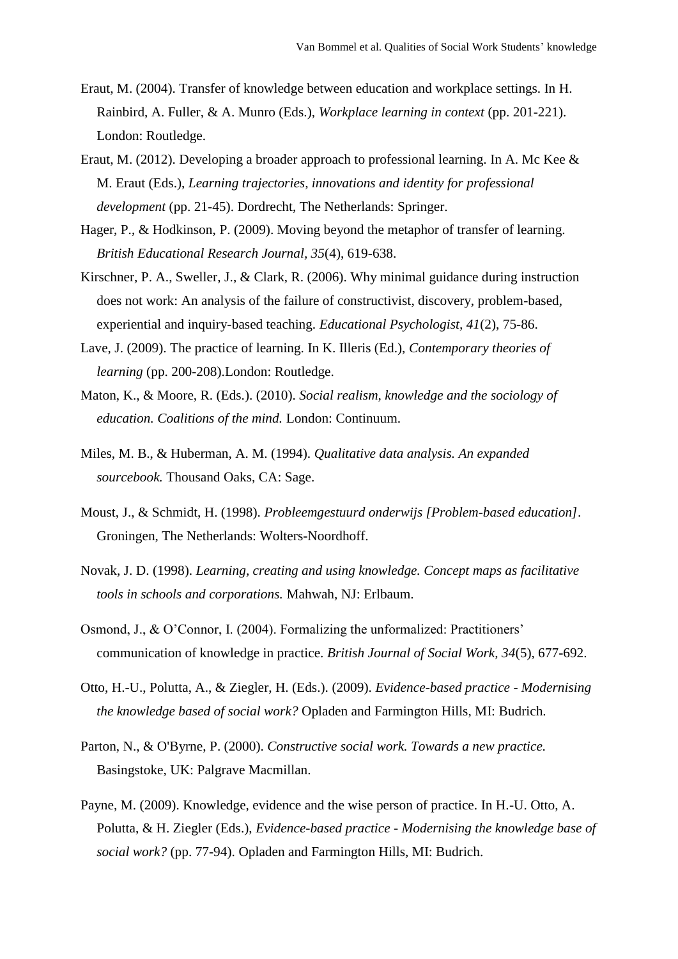- Eraut, M. (2004). Transfer of knowledge between education and workplace settings. In H. Rainbird, A. Fuller, & A. Munro (Eds.), *Workplace learning in context* (pp. 201-221). London: Routledge.
- Eraut, M. (2012). Developing a broader approach to professional learning. In A. Mc Kee & M. Eraut (Eds.), *Learning trajectories, innovations and identity for professional development* (pp. 21-45). Dordrecht, The Netherlands: Springer.
- Hager, P., & Hodkinson, P. (2009). Moving beyond the metaphor of transfer of learning. *British Educational Research Journal, 35*(4), 619-638.
- Kirschner, P. A., Sweller, J., & Clark, R. (2006). Why minimal guidance during instruction does not work: An analysis of the failure of constructivist, discovery, problem-based, experiential and inquiry-based teaching. *Educational Psychologist, 41*(2), 75-86.
- Lave, J. (2009). The practice of learning. In K. Illeris (Ed.), *Contemporary theories of learning* (pp. 200-208).London: Routledge.
- Maton, K., & Moore, R. (Eds.). (2010). *Social realism, knowledge and the sociology of education. Coalitions of the mind.* London: Continuum.
- Miles, M. B., & Huberman, A. M. (1994). *Qualitative data analysis. An expanded sourcebook.* Thousand Oaks, CA: Sage.
- Moust, J., & Schmidt, H. (1998). *Probleemgestuurd onderwijs [Problem-based education]*. Groningen, The Netherlands: Wolters-Noordhoff.
- Novak, J. D. (1998). *Learning, creating and using knowledge. Concept maps as facilitative tools in schools and corporations.* Mahwah, NJ: Erlbaum.
- Osmond, J., & O'Connor, I. (2004). Formalizing the unformalized: Practitioners' communication of knowledge in practice. *British Journal of Social Work, 34*(5), 677-692.
- Otto, H.-U., Polutta, A., & Ziegler, H. (Eds.). (2009). *Evidence-based practice - Modernising the knowledge based of social work?* Opladen and Farmington Hills, MI: Budrich.
- Parton, N., & O'Byrne, P. (2000). *Constructive social work. Towards a new practice.* Basingstoke, UK: Palgrave Macmillan.
- Payne, M. (2009). Knowledge, evidence and the wise person of practice. In H.-U. Otto, A. Polutta, & H. Ziegler (Eds.), *Evidence-based practice - Modernising the knowledge base of social work?* (pp. 77-94). Opladen and Farmington Hills, MI: Budrich.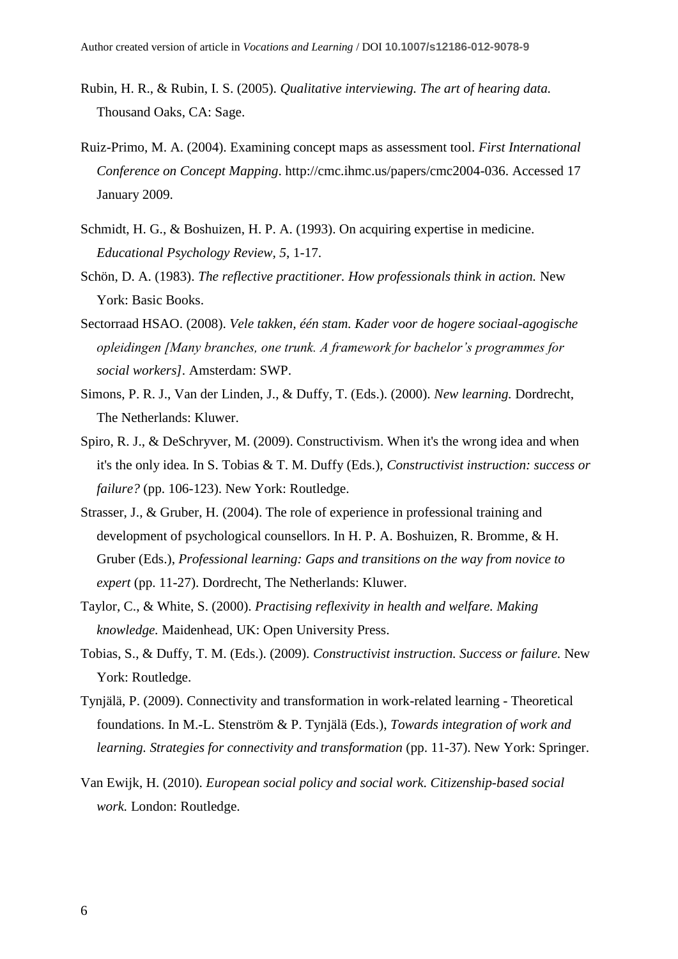- Rubin, H. R., & Rubin, I. S. (2005). *Qualitative interviewing. The art of hearing data.* Thousand Oaks, CA: Sage.
- Ruiz-Primo, M. A. (2004). Examining concept maps as assessment tool. *First International Conference on Concept Mapping*. [http://cmc.ihmc.us/papers/cmc2004-036.](http://cmc.ihmc.us/papers/cmc2004-036) Accessed 17 January 2009.
- Schmidt, H. G., & Boshuizen, H. P. A. (1993). On acquiring expertise in medicine. *Educational Psychology Review, 5*, 1-17.
- Schön, D. A. (1983). *The reflective practitioner. How professionals think in action.* New York: Basic Books.
- Sectorraad HSAO. (2008). *Vele takken, één stam. Kader voor de hogere sociaal-agogische opleidingen [Many branches, one trunk. A framework for bachelor's programmes for social workers].* Amsterdam: SWP.
- Simons, P. R. J., Van der Linden, J., & Duffy, T. (Eds.). (2000). *New learning.* Dordrecht, The Netherlands: Kluwer.
- Spiro, R. J., & DeSchryver, M. (2009). Constructivism. When it's the wrong idea and when it's the only idea. In S. Tobias & T. M. Duffy (Eds.), *Constructivist instruction: success or failure?* (pp. 106-123). New York: Routledge.
- Strasser, J., & Gruber, H. (2004). The role of experience in professional training and development of psychological counsellors. In H. P. A. Boshuizen, R. Bromme, & H. Gruber (Eds.), *Professional learning: Gaps and transitions on the way from novice to expert* (pp. 11-27). Dordrecht, The Netherlands: Kluwer.
- Taylor, C., & White, S. (2000). *Practising reflexivity in health and welfare. Making knowledge.* Maidenhead, UK: Open University Press.
- Tobias, S., & Duffy, T. M. (Eds.). (2009). *Constructivist instruction. Success or failure.* New York: Routledge.
- Tynjälä, P. (2009). Connectivity and transformation in work-related learning Theoretical foundations. In M.-L. Stenström & P. Tynjälä (Eds.), *Towards integration of work and learning. Strategies for connectivity and transformation* (pp. 11-37). New York: Springer.
- Van Ewijk, H. (2010). *European social policy and social work. Citizenship-based social work.* London: Routledge.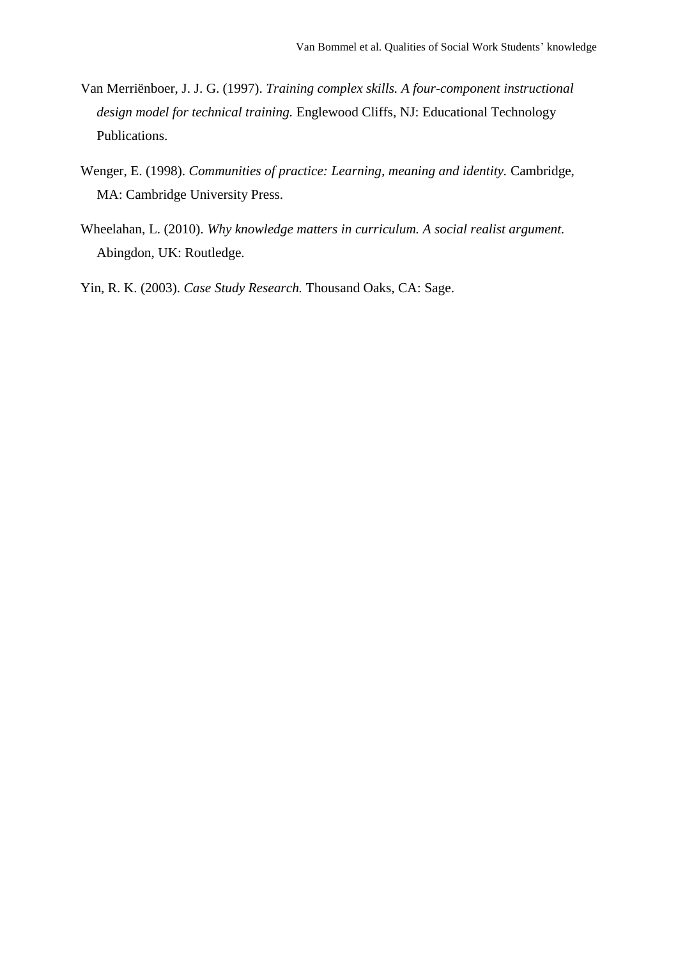- Van Merriënboer, J. J. G. (1997). *Training complex skills. A four-component instructional design model for technical training.* Englewood Cliffs, NJ: Educational Technology Publications.
- Wenger, E. (1998). *Communities of practice: Learning, meaning and identity.* Cambridge, MA: Cambridge University Press.
- Wheelahan, L. (2010). *Why knowledge matters in curriculum. A social realist argument.* Abingdon, UK: Routledge.

Yin, R. K. (2003). *Case Study Research.* Thousand Oaks, CA: Sage.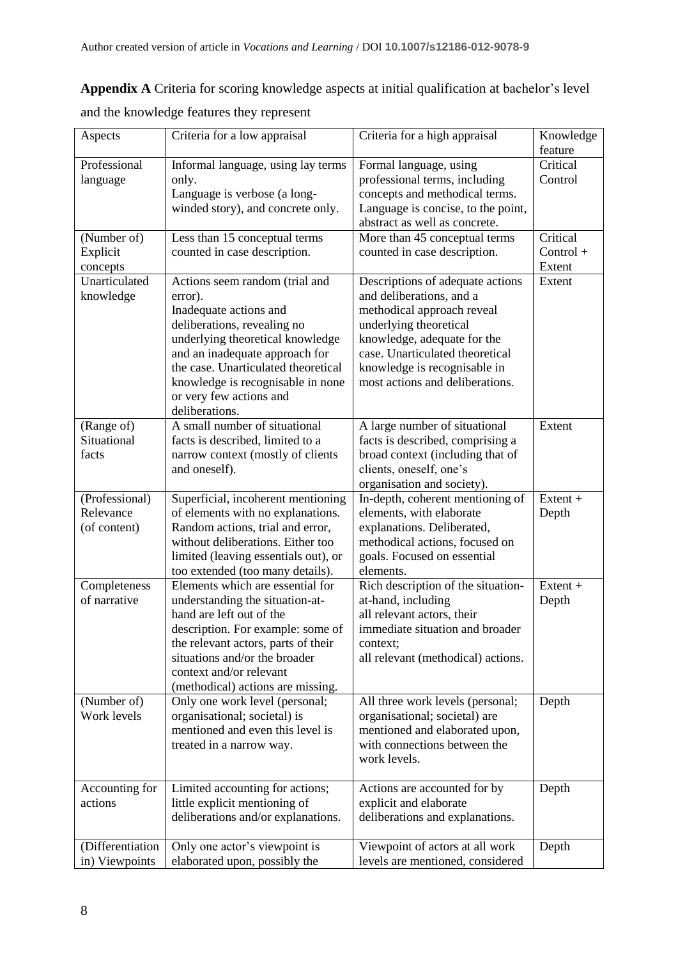**Appendix A** Criteria for scoring knowledge aspects at initial qualification at bachelor's level

| and the knowledge features they represent |
|-------------------------------------------|
|-------------------------------------------|

| Aspects                      | Criteria for a low appraisal                                | Criteria for a high appraisal                                 | Knowledge   |
|------------------------------|-------------------------------------------------------------|---------------------------------------------------------------|-------------|
|                              |                                                             |                                                               | feature     |
| Professional                 | Informal language, using lay terms                          | Formal language, using                                        | Critical    |
| language                     | only.                                                       | professional terms, including                                 | Control     |
|                              | Language is verbose (a long-                                | concepts and methodical terms.                                |             |
|                              | winded story), and concrete only.                           | Language is concise, to the point,                            |             |
|                              |                                                             | abstract as well as concrete.                                 |             |
| (Number of)                  | Less than 15 conceptual terms                               | More than 45 conceptual terms                                 | Critical    |
| Explicit                     | counted in case description.                                | counted in case description.                                  | $Control +$ |
| concepts                     |                                                             |                                                               | Extent      |
| Unarticulated                | Actions seem random (trial and                              | Descriptions of adequate actions                              | Extent      |
| knowledge                    | error).                                                     | and deliberations, and a                                      |             |
|                              | Inadequate actions and                                      | methodical approach reveal                                    |             |
|                              | deliberations, revealing no                                 | underlying theoretical                                        |             |
|                              | underlying theoretical knowledge                            | knowledge, adequate for the                                   |             |
|                              | and an inadequate approach for                              | case. Unarticulated theoretical                               |             |
|                              | the case. Unarticulated theoretical                         | knowledge is recognisable in                                  |             |
|                              | knowledge is recognisable in none                           | most actions and deliberations.                               |             |
|                              | or very few actions and                                     |                                                               |             |
|                              | deliberations.                                              |                                                               |             |
| (Range of)                   | A small number of situational                               | A large number of situational                                 | Extent      |
| Situational                  | facts is described, limited to a                            | facts is described, comprising a                              |             |
| facts                        | narrow context (mostly of clients                           | broad context (including that of                              |             |
|                              | and oneself).                                               | clients, oneself, one's                                       |             |
|                              |                                                             | organisation and society).                                    |             |
| (Professional)               | Superficial, incoherent mentioning                          | In-depth, coherent mentioning of                              | Extent +    |
| Relevance                    | of elements with no explanations.                           | elements, with elaborate                                      | Depth       |
| (of content)                 | Random actions, trial and error,                            | explanations. Deliberated,                                    |             |
|                              | without deliberations. Either too                           | methodical actions, focused on                                |             |
|                              | limited (leaving essentials out), or                        | goals. Focused on essential                                   |             |
|                              | too extended (too many details).                            | elements.                                                     | $Extent +$  |
| Completeness<br>of narrative | Elements which are essential for                            | Rich description of the situation-                            |             |
|                              | understanding the situation-at-<br>hand are left out of the | at-hand, including                                            | Depth       |
|                              | description. For example: some of                           | all relevant actors, their<br>immediate situation and broader |             |
|                              | the relevant actors, parts of their                         | context;                                                      |             |
|                              | situations and/or the broader                               | all relevant (methodical) actions.                            |             |
|                              | context and/or relevant                                     |                                                               |             |
|                              | (methodical) actions are missing.                           |                                                               |             |
| (Number of)                  | Only one work level (personal;                              | All three work levels (personal;                              | Depth       |
| Work levels                  | organisational; societal) is                                | organisational; societal) are                                 |             |
|                              | mentioned and even this level is                            | mentioned and elaborated upon,                                |             |
|                              | treated in a narrow way.                                    | with connections between the                                  |             |
|                              |                                                             | work levels.                                                  |             |
|                              |                                                             |                                                               |             |
| Accounting for               | Limited accounting for actions;                             | Actions are accounted for by                                  | Depth       |
| actions                      | little explicit mentioning of                               | explicit and elaborate                                        |             |
|                              | deliberations and/or explanations.                          | deliberations and explanations.                               |             |
|                              |                                                             |                                                               |             |
| (Differentiation             | Only one actor's viewpoint is                               | Viewpoint of actors at all work                               | Depth       |
| in) Viewpoints               | elaborated upon, possibly the                               | levels are mentioned, considered                              |             |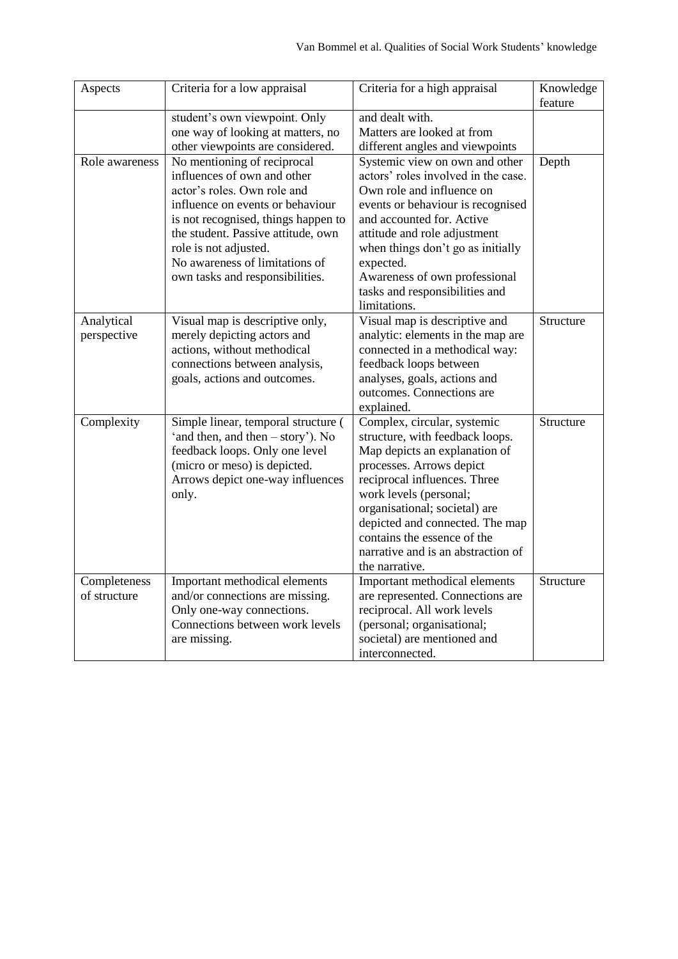| Aspects                      | Criteria for a low appraisal                                                                                                                                                                                                                                                                             | Criteria for a high appraisal                                                                                                                                                                                                                                                                                                                    | Knowledge<br>feature |
|------------------------------|----------------------------------------------------------------------------------------------------------------------------------------------------------------------------------------------------------------------------------------------------------------------------------------------------------|--------------------------------------------------------------------------------------------------------------------------------------------------------------------------------------------------------------------------------------------------------------------------------------------------------------------------------------------------|----------------------|
|                              | student's own viewpoint. Only<br>one way of looking at matters, no<br>other viewpoints are considered.                                                                                                                                                                                                   | and dealt with.<br>Matters are looked at from<br>different angles and viewpoints                                                                                                                                                                                                                                                                 |                      |
| Role awareness               | No mentioning of reciprocal<br>influences of own and other<br>actor's roles. Own role and<br>influence on events or behaviour<br>is not recognised, things happen to<br>the student. Passive attitude, own<br>role is not adjusted.<br>No awareness of limitations of<br>own tasks and responsibilities. | Systemic view on own and other<br>actors' roles involved in the case.<br>Own role and influence on<br>events or behaviour is recognised<br>and accounted for. Active<br>attitude and role adjustment<br>when things don't go as initially<br>expected.<br>Awareness of own professional<br>tasks and responsibilities and<br>limitations.        | Depth                |
| Analytical<br>perspective    | Visual map is descriptive only,<br>merely depicting actors and<br>actions, without methodical<br>connections between analysis,<br>goals, actions and outcomes.                                                                                                                                           | Visual map is descriptive and<br>analytic: elements in the map are<br>connected in a methodical way:<br>feedback loops between<br>analyses, goals, actions and<br>outcomes. Connections are<br>explained.                                                                                                                                        | Structure            |
| Complexity                   | Simple linear, temporal structure (<br>'and then, and then – story'). No<br>feedback loops. Only one level<br>(micro or meso) is depicted.<br>Arrows depict one-way influences<br>only.                                                                                                                  | Complex, circular, systemic<br>structure, with feedback loops.<br>Map depicts an explanation of<br>processes. Arrows depict<br>reciprocal influences. Three<br>work levels (personal;<br>organisational; societal) are<br>depicted and connected. The map<br>contains the essence of the<br>narrative and is an abstraction of<br>the narrative. | Structure            |
| Completeness<br>of structure | Important methodical elements<br>and/or connections are missing.<br>Only one-way connections.<br>Connections between work levels<br>are missing.                                                                                                                                                         | Important methodical elements<br>are represented. Connections are<br>reciprocal. All work levels<br>(personal; organisational;<br>societal) are mentioned and<br>interconnected.                                                                                                                                                                 | Structure            |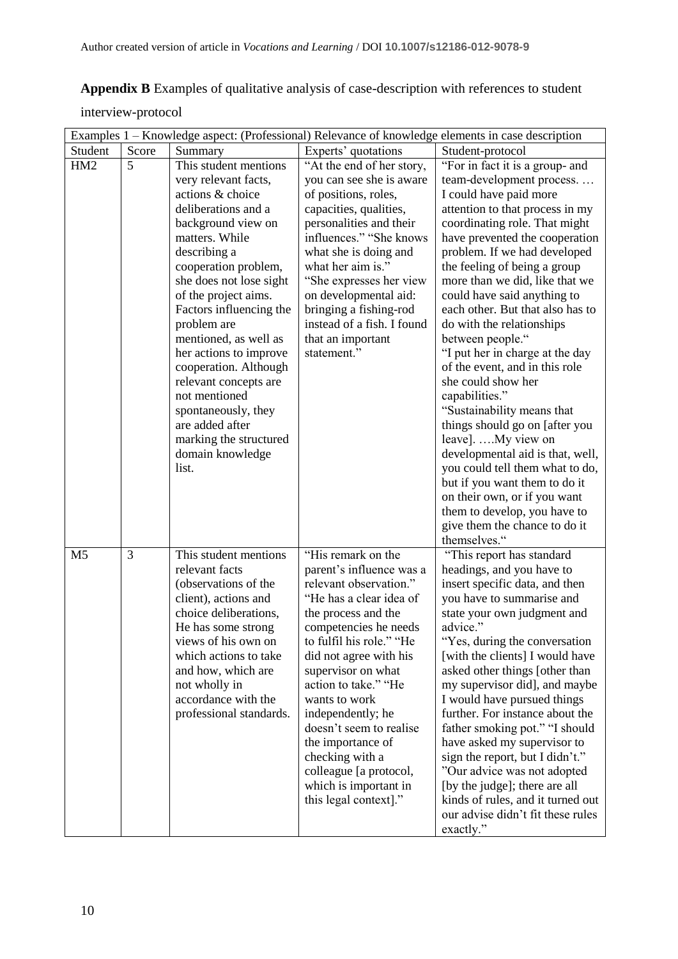**Appendix B** Examples of qualitative analysis of case-description with references to student

interview-protocol

|                 |       |                                                 |                                                 | Examples 1 - Knowledge aspect: (Professional) Relevance of knowledge elements in case description |
|-----------------|-------|-------------------------------------------------|-------------------------------------------------|---------------------------------------------------------------------------------------------------|
| Student         | Score | Summary                                         | Experts' quotations                             | Student-protocol                                                                                  |
| HM <sub>2</sub> | 5     | This student mentions                           | "At the end of her story,                       | "For in fact it is a group- and                                                                   |
|                 |       | very relevant facts,                            | you can see she is aware                        | team-development process                                                                          |
|                 |       | actions & choice                                | of positions, roles,                            | I could have paid more                                                                            |
|                 |       | deliberations and a                             | capacities, qualities,                          | attention to that process in my                                                                   |
|                 |       | background view on                              | personalities and their                         | coordinating role. That might                                                                     |
|                 |       | matters. While                                  | influences." "She knows                         | have prevented the cooperation                                                                    |
|                 |       | describing a                                    | what she is doing and                           | problem. If we had developed                                                                      |
|                 |       | cooperation problem,                            | what her aim is."                               | the feeling of being a group                                                                      |
|                 |       | she does not lose sight                         | "She expresses her view                         | more than we did, like that we                                                                    |
|                 |       | of the project aims.<br>Factors influencing the | on developmental aid:<br>bringing a fishing-rod | could have said anything to<br>each other. But that also has to                                   |
|                 |       | problem are                                     | instead of a fish. I found                      | do with the relationships                                                                         |
|                 |       | mentioned, as well as                           | that an important                               | between people."                                                                                  |
|                 |       | her actions to improve                          | statement."                                     | "I put her in charge at the day                                                                   |
|                 |       | cooperation. Although                           |                                                 | of the event, and in this role                                                                    |
|                 |       | relevant concepts are                           |                                                 | she could show her                                                                                |
|                 |       | not mentioned                                   |                                                 | capabilities."                                                                                    |
|                 |       | spontaneously, they                             |                                                 | "Sustainability means that                                                                        |
|                 |       | are added after                                 |                                                 | things should go on [after you                                                                    |
|                 |       | marking the structured                          |                                                 | leave]. My view on                                                                                |
|                 |       | domain knowledge                                |                                                 | developmental aid is that, well,                                                                  |
|                 |       | list.                                           |                                                 | you could tell them what to do,                                                                   |
|                 |       |                                                 |                                                 | but if you want them to do it                                                                     |
|                 |       |                                                 |                                                 | on their own, or if you want                                                                      |
|                 |       |                                                 |                                                 | them to develop, you have to                                                                      |
|                 |       |                                                 |                                                 | give them the chance to do it                                                                     |
|                 | 3     |                                                 | "His remark on the                              | themselves."                                                                                      |
| M <sub>5</sub>  |       | This student mentions<br>relevant facts         | parent's influence was a                        | "This report has standard                                                                         |
|                 |       | (observations of the                            | relevant observation."                          | headings, and you have to<br>insert specific data, and then                                       |
|                 |       | client), actions and                            | "He has a clear idea of                         | you have to summarise and                                                                         |
|                 |       | choice deliberations,                           | the process and the                             | state your own judgment and                                                                       |
|                 |       | He has some strong                              | competencies he needs                           | advice."                                                                                          |
|                 |       | views of his own on                             | to fulfil his role." "He                        | Yes, during the conversation                                                                      |
|                 |       | which actions to take                           | did not agree with his                          | [with the clients] I would have                                                                   |
|                 |       | and how, which are                              | supervisor on what                              | asked other things [other than                                                                    |
|                 |       | not wholly in                                   | action to take." "He                            | my supervisor did], and maybe                                                                     |
|                 |       | accordance with the                             | wants to work                                   | I would have pursued things                                                                       |
|                 |       | professional standards.                         | independently; he                               | further. For instance about the                                                                   |
|                 |       |                                                 | doesn't seem to realise                         | father smoking pot." "I should                                                                    |
|                 |       |                                                 | the importance of                               | have asked my supervisor to                                                                       |
|                 |       |                                                 | checking with a                                 | sign the report, but I didn't."                                                                   |
|                 |       |                                                 | colleague [a protocol,                          | "Our advice was not adopted                                                                       |
|                 |       |                                                 | which is important in                           | [by the judge]; there are all                                                                     |
|                 |       |                                                 | this legal context]."                           | kinds of rules, and it turned out<br>our advise didn't fit these rules                            |
|                 |       |                                                 |                                                 | exactly."                                                                                         |